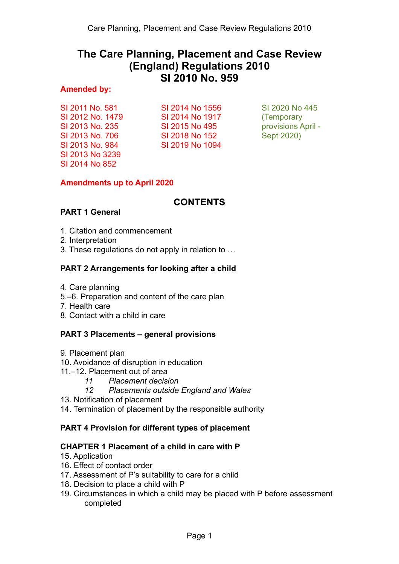# **The Care Planning, Placement and Case Review (England) Regulations 2010 SI 2010 No. 959**

### **Amended by:**

SI 2011 No. 581 SI 2012 No. 1479 SI 2013 No. 235 SI 2013 No. 706 SI 2013 No. 984 SI 2013 No 3239 SI 2014 No 852

SI 2014 No 1556 SI 2014 No 1917 SI 2015 No 495 SI 2018 No 152 SI 2019 No 1094

SI 2020 No 445 (Temporary provisions April - Sept 2020)

## **Amendments up to April 2020**

# **CONTENTS**

## **PART 1 General**

- 1. Citation and commencement
- 2. Interpretation
- 3. These regulations do not apply in relation to …

## **PART 2 Arrangements for looking after a child**

- 4. Care planning
- 5.–6. Preparation and content of the care plan
- 7. Health care
- 8. Contact with a child in care

## **PART 3 Placements – general provisions**

- 9. Placement plan
- 10. Avoidance of disruption in education
- 11.–12. Placement out of area
	- *11 Placement decision*
	- *12 Placements outside England and Wales*
- 13. Notification of placement
- 14. Termination of placement by the responsible authority

## **PART 4 Provision for different types of placement**

## **CHAPTER 1 Placement of a child in care with P**

- 15. Application
- 16. Effect of contact order
- 17. Assessment of P's suitability to care for a child
- 18. Decision to place a child with P
- 19. Circumstances in which a child may be placed with P before assessment completed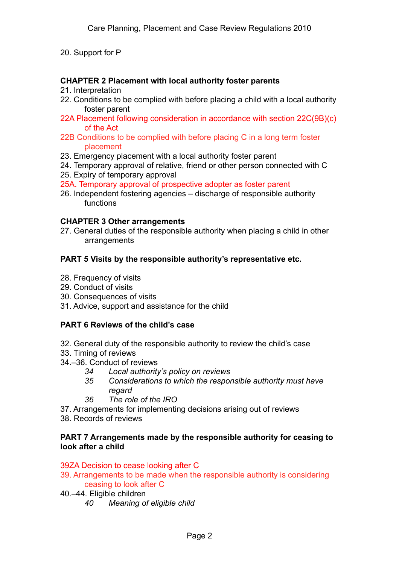## 20. Support for P

#### **CHAPTER 2 Placement with local authority foster parents**

- 21. Interpretation
- 22. Conditions to be complied with before placing a child with a local authority foster parent
- 22A Placement following consideration in accordance with section 22C(9B)(c) of the Act
- 22B Conditions to be complied with before placing C in a long term foster placement
- 23. Emergency placement with a local authority foster parent
- 24. Temporary approval of relative, friend or other person connected with C
- 25. Expiry of temporary approval
- 25A. Temporary approval of prospective adopter as foster parent
- 26. Independent fostering agencies discharge of responsible authority functions

#### **CHAPTER 3 Other arrangements**

27. General duties of the responsible authority when placing a child in other arrangements

#### **PART 5 Visits by the responsible authority's representative etc.**

- 28. Frequency of visits
- 29. Conduct of visits
- 30. Consequences of visits
- 31. Advice, support and assistance for the child

#### **PART 6 Reviews of the child's case**

- 32. General duty of the responsible authority to review the child's case
- 33. Timing of reviews
- 34.–36. Conduct of reviews
	- *34 Local authority's policy on reviews*
	- *35 Considerations to which the responsible authority must have regard*
	- *36 The role of the IRO*
- 37. Arrangements for implementing decisions arising out of reviews
- 38. Records of reviews

#### **PART 7 Arrangements made by the responsible authority for ceasing to look after a child**

#### 39ZA Decision to cease looking after C

- 39. Arrangements to be made when the responsible authority is considering ceasing to look after C
- 40.–44. Eligible children
	- *40 Meaning of eligible child*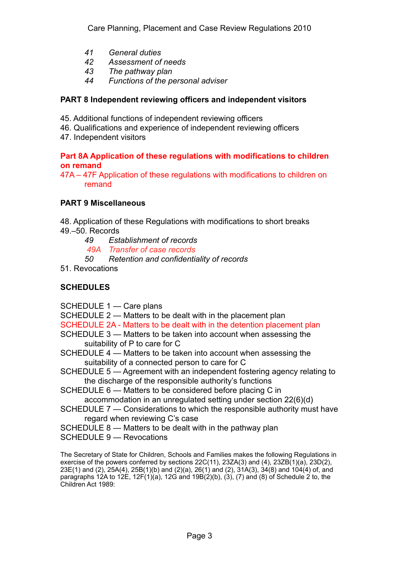- *41 General duties*
- *42 Assessment of needs*
- *43 The pathway plan*
- *44 Functions of the personal adviser*

## **PART 8 Independent reviewing officers and independent visitors**

- 45. Additional functions of independent reviewing officers
- 46. Qualifications and experience of independent reviewing officers
- 47. Independent visitors

#### **Part 8A Application of these regulations with modifications to children on remand**

47A – 47F Application of these regulations with modifications to children on remand

### **PART 9 Miscellaneous**

48. Application of these Regulations with modifications to short breaks 49.–50. Records

- *49 Establishment of records*
- *49A Transfer of case records*
- *50 Retention and confidentiality of records*
- 51. Revocations

## **SCHEDULES**

SCHEDULE 1 — Care plans

SCHEDULE 2 — Matters to be dealt with in the placement plan

- SCHEDULE 2A Matters to be dealt with in the detention placement plan
- SCHEDULE 3 Matters to be taken into account when assessing the suitability of P to care for C
- SCHEDULE 4 Matters to be taken into account when assessing the suitability of a connected person to care for C
- SCHEDULE 5 Agreement with an independent fostering agency relating to the discharge of the responsible authority's functions
- SCHEDULE 6 Matters to be considered before placing C in accommodation in an unregulated setting under section 22(6)(d)
- SCHEDULE 7 Considerations to which the responsible authority must have
	- regard when reviewing C's case
- SCHEDULE 8 Matters to be dealt with in the pathway plan
- SCHEDULE 9 Revocations

The Secretary of State for Children, Schools and Families makes the following Regulations in exercise of the powers conferred by sections 22C(11), 23ZA(3) and (4), 23ZB(1)(a), 23D(2), 23E(1) and (2), 25A(4), 25B(1)(b) and (2)(a), 26(1) and (2), 31A(3), 34(8) and 104(4) of, and paragraphs 12A to 12E, 12F(1)(a), 12G and 19B(2)(b), (3), (7) and (8) of Schedule 2 to, the Children Act 1989: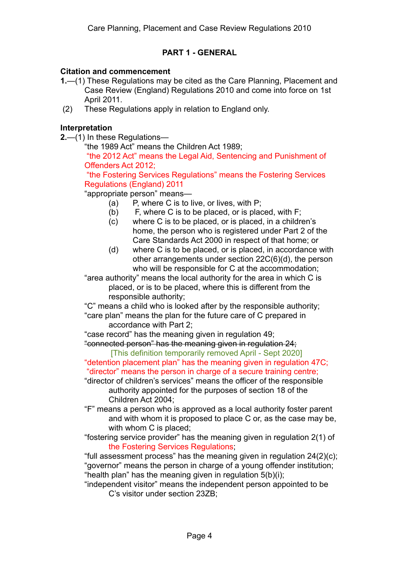## **PART 1 - GENERAL**

#### **Citation and commencement**

- **1.**—(1) These Regulations may be cited as the Care Planning, Placement and Case Review (England) Regulations 2010 and come into force on 1st April 2011.
- (2) These Regulations apply in relation to England only.

## **Interpretation**

**2.**—(1) In these Regulations—

"the 1989 Act" means the Children Act 1989;

 "the 2012 Act" means the Legal Aid, Sentencing and Punishment of Offenders Act 2012;

 "the Fostering Services Regulations" means the Fostering Services Regulations (England) 2011

"appropriate person" means—

- (a) P, where C is to live, or lives, with P;
- (b) F, where C is to be placed, or is placed, with F;
- (c) where C is to be placed, or is placed, in a children's home, the person who is registered under Part 2 of the Care Standards Act 2000 in respect of that home; or
- (d) where C is to be placed, or is placed, in accordance with other arrangements under section 22C(6)(d), the person who will be responsible for C at the accommodation;

"area authority" means the local authority for the area in which C is placed, or is to be placed, where this is different from the responsible authority;

"C" means a child who is looked after by the responsible authority; "care plan" means the plan for the future care of C prepared in

accordance with Part 2;

"case record" has the meaning given in regulation 49;

"connected person" has the meaning given in regulation 24; [This definition temporarily removed April - Sept 2020]

"detention placement plan" has the meaning given in regulation 47C; "director" means the person in charge of a secure training centre;

"director of children's services" means the officer of the responsible authority appointed for the purposes of section 18 of the Children Act 2004;

"F" means a person who is approved as a local authority foster parent and with whom it is proposed to place C or, as the case may be, with whom C is placed;

"fostering service provider" has the meaning given in regulation 2(1) of the Fostering Services Regulations;

"full assessment process" has the meaning given in regulation 24(2)(c); "governor" means the person in charge of a young offender institution; "health plan" has the meaning given in regulation 5(b)(i);

"independent visitor" means the independent person appointed to be C's visitor under section 23ZB;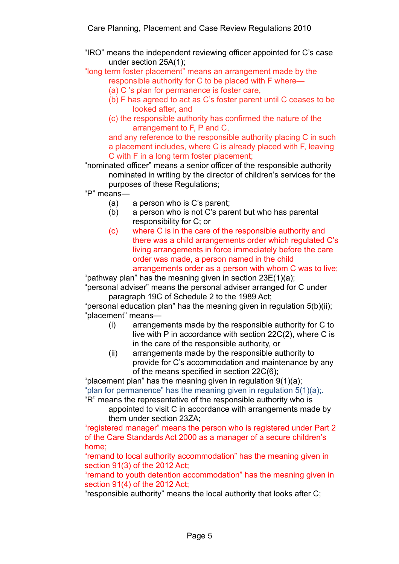"IRO" means the independent reviewing officer appointed for C's case under section 25A(1);

"long term foster placement" means an arrangement made by the responsible authority for C to be placed with F where—

- (a) C 's plan for permanence is foster care,
- (b) F has agreed to act as C's foster parent until C ceases to be looked after, and
- (c) the responsible authority has confirmed the nature of the arrangement to F, P and C,

and any reference to the responsible authority placing C in such a placement includes, where C is already placed with F, leaving C with F in a long term foster placement;

"nominated officer" means a senior officer of the responsible authority nominated in writing by the director of children's services for the purposes of these Regulations;

"P" means—

- (a) a person who is C's parent;
- (b) a person who is not C's parent but who has parental responsibility for C; or
- (c) where C is in the care of the responsible authority and there was a child arrangements order which regulated C's living arrangements in force immediately before the care order was made, a person named in the child arrangements order as a person with whom C was to live;

"pathway plan" has the meaning given in section 23E(1)(a);

"personal adviser" means the personal adviser arranged for C under paragraph 19C of Schedule 2 to the 1989 Act;

"personal education plan" has the meaning given in regulation 5(b)(ii); "placement" means—

- (i) arrangements made by the responsible authority for C to live with P in accordance with section 22C(2), where C is in the care of the responsible authority, or
- (ii) arrangements made by the responsible authority to provide for C's accommodation and maintenance by any of the means specified in section 22C(6);

"placement plan" has the meaning given in regulation 9(1)(a); "plan for permanence" has the meaning given in regulation  $5(1)(a)$ .

"R" means the representative of the responsible authority who is appointed to visit C in accordance with arrangements made by them under section 23ZA;

"registered manager" means the person who is registered under Part 2 of the Care Standards Act 2000 as a manager of a secure children's home;

"remand to local authority accommodation" has the meaning given in section 91(3) of the 2012 Act;

"remand to youth detention accommodation" has the meaning given in section 91(4) of the 2012 Act;

"responsible authority" means the local authority that looks after C;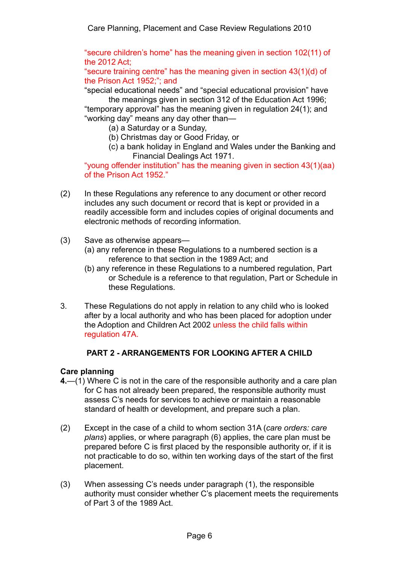"secure children's home" has the meaning given in section 102(11) of the 2012 Act;

"secure training centre" has the meaning given in section 43(1)(d) of the Prison Act 1952;"; and

"special educational needs" and "special educational provision" have the meanings given in section 312 of the Education Act 1996;

"temporary approval" has the meaning given in regulation 24(1); and "working day" means any day other than—

- (a) a Saturday or a Sunday,
- (b) Christmas day or Good Friday, or
- (c) a bank holiday in England and Wales under the Banking and Financial Dealings Act 1971.

"young offender institution" has the meaning given in section 43(1)(aa) of the Prison Act 1952."

- (2) In these Regulations any reference to any document or other record includes any such document or record that is kept or provided in a readily accessible form and includes copies of original documents and electronic methods of recording information.
- (3) Save as otherwise appears—
	- (a) any reference in these Regulations to a numbered section is a reference to that section in the 1989 Act; and
	- (b) any reference in these Regulations to a numbered regulation, Part or Schedule is a reference to that regulation, Part or Schedule in these Regulations.
- 3. These Regulations do not apply in relation to any child who is looked after by a local authority and who has been placed for adoption under the Adoption and Children Act 2002 unless the child falls within regulation 47A.

## **PART 2 - ARRANGEMENTS FOR LOOKING AFTER A CHILD**

## **Care planning**

- **4.**—(1) Where C is not in the care of the responsible authority and a care plan for C has not already been prepared, the responsible authority must assess C's needs for services to achieve or maintain a reasonable standard of health or development, and prepare such a plan.
- (2) Except in the case of a child to whom section 31A (*care orders: care plans*) applies, or where paragraph (6) applies, the care plan must be prepared before C is first placed by the responsible authority or, if it is not practicable to do so, within ten working days of the start of the first placement.
- (3) When assessing C's needs under paragraph (1), the responsible authority must consider whether C's placement meets the requirements of Part 3 of the 1989 Act.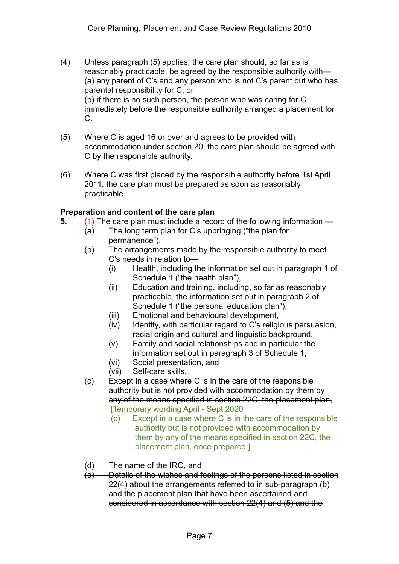- (4) Unless paragraph (5) applies, the care plan should, so far as is reasonably practicable, be agreed by the responsible authority with— (a) any parent of C's and any person who is not C's parent but who has parental responsibility for C, or (b) if there is no such person, the person who was caring for C immediately before the responsible authority arranged a placement for C.
- (5) Where C is aged 16 or over and agrees to be provided with accommodation under section 20, the care plan should be agreed with C by the responsible authority.
- (6) Where C was first placed by the responsible authority before 1st April 2011, the care plan must be prepared as soon as reasonably practicable.

### **Preparation and content of the care plan**

- **5.** (1) The care plan must include a record of the following information
	- (a) The long term plan for C's upbringing ("the plan for permanence"),
	- (b) The arrangements made by the responsible authority to meet C's needs in relation to—
		- (i) Health, including the information set out in paragraph 1 of Schedule 1 ("the health plan"),
		- (ii) Education and training, including, so far as reasonably practicable, the information set out in paragraph 2 of Schedule 1 ("the personal education plan"),
		- (iii) Emotional and behavioural development,
		- (iv) Identity, with particular regard to C's religious persuasion, racial origin and cultural and linguistic background,
		- (v) Family and social relationships and in particular the information set out in paragraph 3 of Schedule 1,
		- (vi) Social presentation, and
		- (vii) Self-care skills,
	- (c) Except in a case where C is in the care of the responsible authority but is not provided with accommodation by them by any of the means specified in section 22C, the placement plan, [Temporary wording April - Sept 2020
		- (c) Except in a case where C is in the care of the responsible authority but is not provided with accommodation by them by any of the means specified in section 22C, the placement plan, once prepared,]
	- (d) The name of the IRO, and
	- (e) Details of the wishes and feelings of the persons listed in section 22(4) about the arrangements referred to in sub-paragraph (b) and the placement plan that have been ascertained and considered in accordance with section 22(4) and (5) and the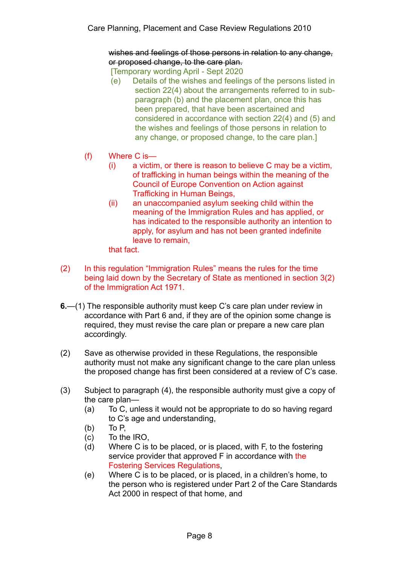wishes and feelings of those persons in relation to any change, or proposed change, to the care plan.

[Temporary wording April - Sept 2020

- (e) Details of the wishes and feelings of the persons listed in section 22(4) about the arrangements referred to in subparagraph (b) and the placement plan, once this has been prepared, that have been ascertained and considered in accordance with section 22(4) and (5) and the wishes and feelings of those persons in relation to any change, or proposed change, to the care plan.]
- (f) Where C is—
	- (i) a victim, or there is reason to believe C may be a victim, of trafficking in human beings within the meaning of the Council of Europe Convention on Action against Trafficking in Human Beings,
	- (ii) an unaccompanied asylum seeking child within the meaning of the Immigration Rules and has applied, or has indicated to the responsible authority an intention to apply, for asylum and has not been granted indefinite leave to remain,

that fact.

- (2) In this regulation "Immigration Rules" means the rules for the time being laid down by the Secretary of State as mentioned in section 3(2) of the Immigration Act 1971.
- **6.**—(1) The responsible authority must keep C's care plan under review in accordance with Part 6 and, if they are of the opinion some change is required, they must revise the care plan or prepare a new care plan accordingly.
- (2) Save as otherwise provided in these Regulations, the responsible authority must not make any significant change to the care plan unless the proposed change has first been considered at a review of C's case.
- (3) Subject to paragraph (4), the responsible authority must give a copy of the care plan—
	- (a) To C, unless it would not be appropriate to do so having regard to C's age and understanding,
	- (b) To P,
	- (c) To the IRO,
	- (d) Where C is to be placed, or is placed, with F, to the fostering service provider that approved F in accordance with the Fostering Services Regulations,
	- (e) Where C is to be placed, or is placed, in a children's home, to the person who is registered under Part 2 of the Care Standards Act 2000 in respect of that home, and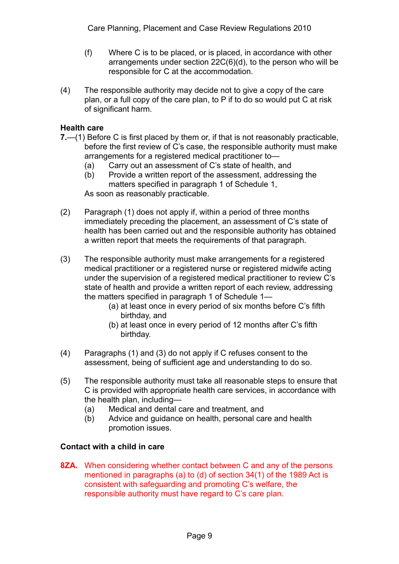- (f) Where C is to be placed, or is placed, in accordance with other arrangements under section 22C(6)(d), to the person who will be responsible for C at the accommodation.
- (4) The responsible authority may decide not to give a copy of the care plan, or a full copy of the care plan, to P if to do so would put C at risk of significant harm.

## **Health care**

- **7.**—(1) Before C is first placed by them or, if that is not reasonably practicable, before the first review of C's case, the responsible authority must make arrangements for a registered medical practitioner to—
	- (a) Carry out an assessment of C's state of health, and
	- (b) Provide a written report of the assessment, addressing the matters specified in paragraph 1 of Schedule 1, As soon as reasonably practicable.
- (2) Paragraph (1) does not apply if, within a period of three months immediately preceding the placement, an assessment of C's state of health has been carried out and the responsible authority has obtained a written report that meets the requirements of that paragraph.
- (3) The responsible authority must make arrangements for a registered medical practitioner or a registered nurse or registered midwife acting under the supervision of a registered medical practitioner to review C's state of health and provide a written report of each review, addressing the matters specified in paragraph 1 of Schedule 1—
	- (a) at least once in every period of six months before C's fifth birthday, and
	- (b) at least once in every period of 12 months after C's fifth birthday.
- (4) Paragraphs (1) and (3) do not apply if C refuses consent to the assessment, being of sufficient age and understanding to do so.
- (5) The responsible authority must take all reasonable steps to ensure that C is provided with appropriate health care services, in accordance with the health plan, including—
	- (a) Medical and dental care and treatment, and
	- (b) Advice and guidance on health, personal care and health promotion issues.

## **Contact with a child in care**

**8ZA.** When considering whether contact between C and any of the persons mentioned in paragraphs (a) to (d) of section 34(1) of the 1989 Act is consistent with safeguarding and promoting C's welfare, the responsible authority must have regard to C's care plan.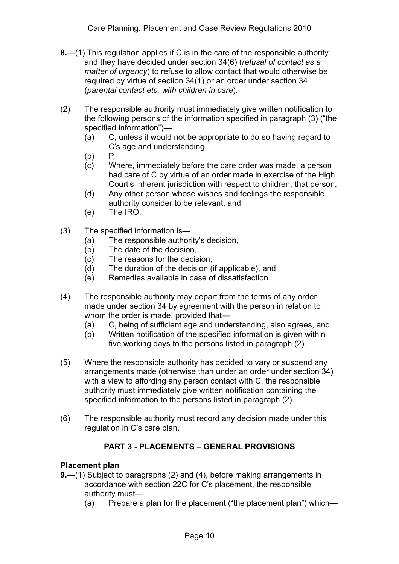- **8.**—(1) This regulation applies if C is in the care of the responsible authority and they have decided under section 34(6) (*refusal of contact as a matter of urgency*) to refuse to allow contact that would otherwise be required by virtue of section 34(1) or an order under section 34 (*parental contact etc. with children in care*).
- (2) The responsible authority must immediately give written notification to the following persons of the information specified in paragraph (3) ("the specified information")—
	- (a) C, unless it would not be appropriate to do so having regard to C's age and understanding,
	- (b) P,
	- (c) Where, immediately before the care order was made, a person had care of C by virtue of an order made in exercise of the High Court's inherent jurisdiction with respect to children, that person,
	- (d) Any other person whose wishes and feelings the responsible authority consider to be relevant, and
	- (e) The IRO.
- (3) The specified information is—
	- (a) The responsible authority's decision,
	- (b) The date of the decision,
	- (c) The reasons for the decision,
	- (d) The duration of the decision (if applicable), and
	- (e) Remedies available in case of dissatisfaction.
- (4) The responsible authority may depart from the terms of any order made under section 34 by agreement with the person in relation to whom the order is made, provided that—
	- (a) C, being of sufficient age and understanding, also agrees, and
	- (b) Written notification of the specified information is given within five working days to the persons listed in paragraph (2).
- (5) Where the responsible authority has decided to vary or suspend any arrangements made (otherwise than under an order under section 34) with a view to affording any person contact with C, the responsible authority must immediately give written notification containing the specified information to the persons listed in paragraph (2).
- (6) The responsible authority must record any decision made under this regulation in C's care plan.

## **PART 3 - PLACEMENTS – GENERAL PROVISIONS**

## **Placement plan**

- **9.**—(1) Subject to paragraphs (2) and (4), before making arrangements in accordance with section 22C for C's placement, the responsible authority must—
	- (a) Prepare a plan for the placement ("the placement plan") which—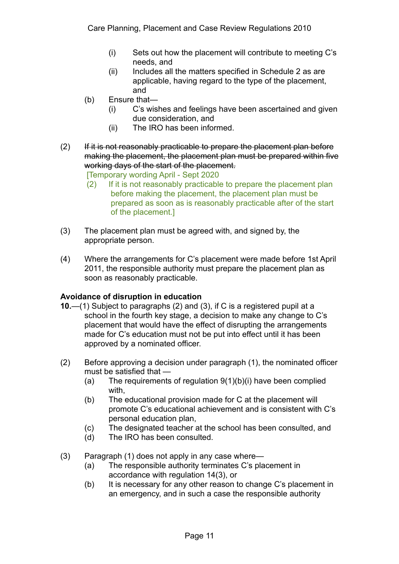- (i) Sets out how the placement will contribute to meeting C's needs, and
- (ii) Includes all the matters specified in Schedule 2 as are applicable, having regard to the type of the placement, and
- (b) Ensure that—
	- (i) C's wishes and feelings have been ascertained and given due consideration, and
	- (ii) The IRO has been informed.
- $(2)$  If it is not reasonably practicable to prepare the placement plan before making the placement, the placement plan must be prepared within five working days of the start of the placement.

[Temporary wording April - Sept 2020

- (2) If it is not reasonably practicable to prepare the placement plan before making the placement, the placement plan must be prepared as soon as is reasonably practicable after of the start of the placement.]
- (3) The placement plan must be agreed with, and signed by, the appropriate person.
- (4) Where the arrangements for C's placement were made before 1st April 2011, the responsible authority must prepare the placement plan as soon as reasonably practicable.

## **Avoidance of disruption in education**

- **10.**—(1) Subject to paragraphs (2) and (3), if C is a registered pupil at a school in the fourth key stage, a decision to make any change to C's placement that would have the effect of disrupting the arrangements made for C's education must not be put into effect until it has been approved by a nominated officer.
- (2) Before approving a decision under paragraph (1), the nominated officer must be satisfied that —
	- (a) The requirements of regulation 9(1)(b)(i) have been complied with,
	- (b) The educational provision made for C at the placement will promote C's educational achievement and is consistent with C's personal education plan,
	- (c) The designated teacher at the school has been consulted, and
	- (d) The IRO has been consulted.
- (3) Paragraph (1) does not apply in any case where—
	- (a) The responsible authority terminates C's placement in accordance with regulation 14(3), or
	- (b) It is necessary for any other reason to change C's placement in an emergency, and in such a case the responsible authority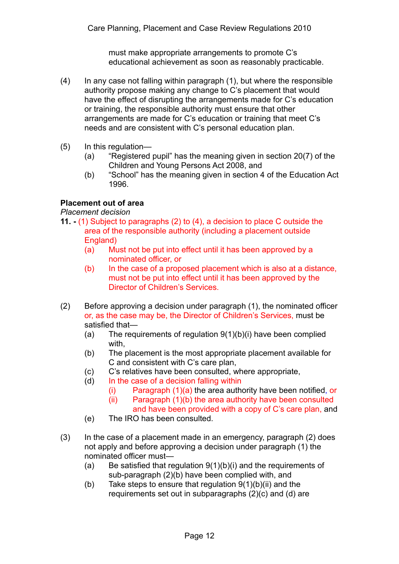must make appropriate arrangements to promote C's educational achievement as soon as reasonably practicable.

- (4) In any case not falling within paragraph (1), but where the responsible authority propose making any change to C's placement that would have the effect of disrupting the arrangements made for C's education or training, the responsible authority must ensure that other arrangements are made for C's education or training that meet C's needs and are consistent with C's personal education plan.
- (5) In this regulation—
	- (a) "Registered pupil" has the meaning given in section 20(7) of the Children and Young Persons Act 2008, and
	- (b) "School" has the meaning given in section 4 of the Education Act 1996.

## **Placement out of area**

*Placement decision* 

- **11. -** (1) Subject to paragraphs (2) to (4), a decision to place C outside the area of the responsible authority (including a placement outside England)
	- (a) Must not be put into effect until it has been approved by a nominated officer, or
	- (b) In the case of a proposed placement which is also at a distance, must not be put into effect until it has been approved by the Director of Children's Services.
- (2) Before approving a decision under paragraph (1), the nominated officer or, as the case may be, the Director of Children's Services, must be satisfied that—
	- (a) The requirements of regulation 9(1)(b)(i) have been complied with,
	- (b) The placement is the most appropriate placement available for C and consistent with C's care plan,
	- (c) C's relatives have been consulted, where appropriate,
	- (d) In the case of a decision falling within
		- (i) Paragraph (1)(a) the area authority have been notified, or (ii) Paragraph (1)(b) the area authority have been consulted
		- and have been provided with a copy of C's care plan, and
	- (e) The IRO has been consulted.
- (3) In the case of a placement made in an emergency, paragraph (2) does not apply and before approving a decision under paragraph (1) the nominated officer must—
	- (a) Be satisfied that regulation 9(1)(b)(i) and the requirements of sub-paragraph (2)(b) have been complied with, and
	- (b) Take steps to ensure that regulation  $9(1)(b)(ii)$  and the requirements set out in subparagraphs (2)(c) and (d) are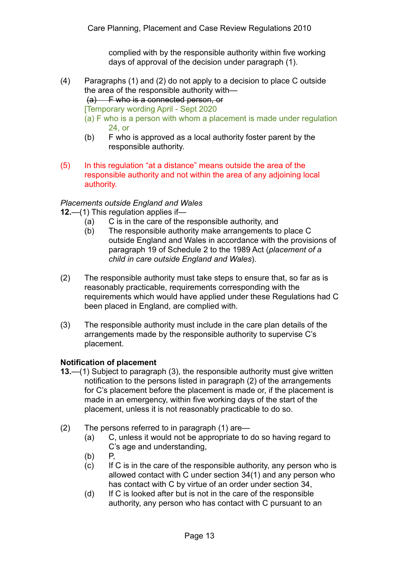complied with by the responsible authority within five working days of approval of the decision under paragraph (1).

- (4) Paragraphs (1) and (2) do not apply to a decision to place C outside the area of the responsible authority with—
	- (a) F who is a connected person, or

[Temporary wording April - Sept 2020

- (a) F who is a person with whom a placement is made under regulation 24, or
- (b) F who is approved as a local authority foster parent by the responsible authority.
- (5) In this regulation "at a distance" means outside the area of the responsible authority and not within the area of any adjoining local authority.

#### *Placements outside England and Wales*

**12.**—(1) This regulation applies if—

- (a) C is in the care of the responsible authority, and
- (b) The responsible authority make arrangements to place C outside England and Wales in accordance with the provisions of paragraph 19 of Schedule 2 to the 1989 Act (*placement of a child in care outside England and Wales*).
- (2) The responsible authority must take steps to ensure that, so far as is reasonably practicable, requirements corresponding with the requirements which would have applied under these Regulations had C been placed in England, are complied with.
- (3) The responsible authority must include in the care plan details of the arrangements made by the responsible authority to supervise C's placement.

#### **Notification of placement**

- **13.**—(1) Subject to paragraph (3), the responsible authority must give written notification to the persons listed in paragraph (2) of the arrangements for C's placement before the placement is made or, if the placement is made in an emergency, within five working days of the start of the placement, unless it is not reasonably practicable to do so.
- (2) The persons referred to in paragraph (1) are—
	- (a) C, unless it would not be appropriate to do so having regard to C's age and understanding,
	- (b) P,
	- (c) If C is in the care of the responsible authority, any person who is allowed contact with C under section 34(1) and any person who has contact with C by virtue of an order under section 34,
	- (d) If C is looked after but is not in the care of the responsible authority, any person who has contact with C pursuant to an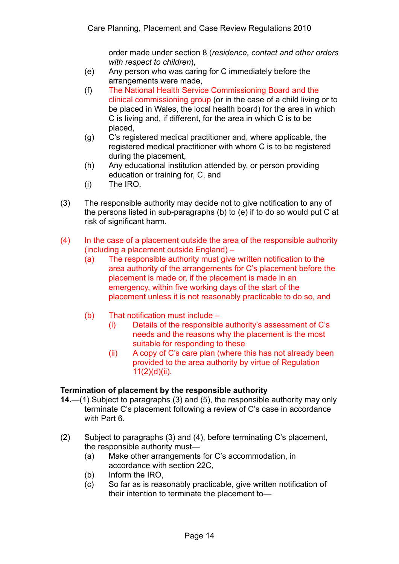order made under section 8 (*residence, contact and other orders with respect to children*),

- (e) Any person who was caring for C immediately before the arrangements were made,
- (f) The National Health Service Commissioning Board and the clinical commissioning group (or in the case of a child living or to be placed in Wales, the local health board) for the area in which C is living and, if different, for the area in which C is to be placed,
- (g) C's registered medical practitioner and, where applicable, the registered medical practitioner with whom C is to be registered during the placement,
- (h) Any educational institution attended by, or person providing education or training for, C, and
- (i) The IRO.
- (3) The responsible authority may decide not to give notification to any of the persons listed in sub-paragraphs (b) to (e) if to do so would put C at risk of significant harm.
- (4) In the case of a placement outside the area of the responsible authority (including a placement outside England) –
	- (a) The responsible authority must give written notification to the area authority of the arrangements for C's placement before the placement is made or, if the placement is made in an emergency, within five working days of the start of the placement unless it is not reasonably practicable to do so, and
	- (b) That notification must include
		- (i) Details of the responsible authority's assessment of C's needs and the reasons why the placement is the most suitable for responding to these
		- (ii) A copy of C's care plan (where this has not already been provided to the area authority by virtue of Regulation 11(2)(d)(ii).

## **Termination of placement by the responsible authority**

- **14.**—(1) Subject to paragraphs (3) and (5), the responsible authority may only terminate C's placement following a review of C's case in accordance with Part 6.
- (2) Subject to paragraphs (3) and (4), before terminating C's placement, the responsible authority must—
	- (a) Make other arrangements for C's accommodation, in accordance with section 22C,
	- (b) Inform the IRO,
	- (c) So far as is reasonably practicable, give written notification of their intention to terminate the placement to—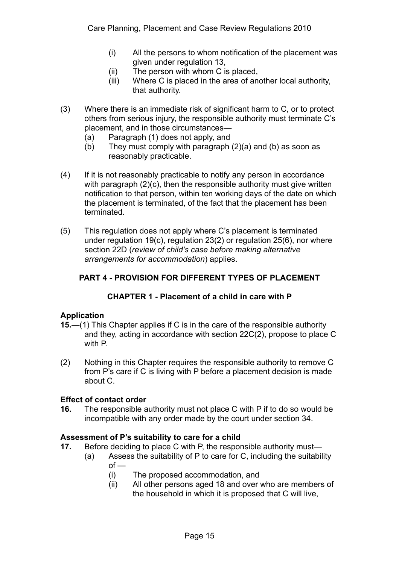- (i) All the persons to whom notification of the placement was given under regulation 13,
- (ii) The person with whom C is placed,
- (iii) Where C is placed in the area of another local authority, that authority.
- (3) Where there is an immediate risk of significant harm to C, or to protect others from serious injury, the responsible authority must terminate C's placement, and in those circumstances—
	- (a) Paragraph (1) does not apply, and
	- (b) They must comply with paragraph (2)(a) and (b) as soon as reasonably practicable.
- (4) If it is not reasonably practicable to notify any person in accordance with paragraph (2)(c), then the responsible authority must give written notification to that person, within ten working days of the date on which the placement is terminated, of the fact that the placement has been terminated.
- (5) This regulation does not apply where C's placement is terminated under regulation 19(c), regulation 23(2) or regulation 25(6), nor where section 22D (*review of child's case before making alternative arrangements for accommodation*) applies.

# **PART 4 - PROVISION FOR DIFFERENT TYPES OF PLACEMENT**

## **CHAPTER 1 - Placement of a child in care with P**

## **Application**

- **15.**—(1) This Chapter applies if C is in the care of the responsible authority and they, acting in accordance with section 22C(2), propose to place C with P.
- (2) Nothing in this Chapter requires the responsible authority to remove C from P's care if C is living with P before a placement decision is made about C.

#### **Effect of contact order**

**16.** The responsible authority must not place C with P if to do so would be incompatible with any order made by the court under section 34.

## **Assessment of P's suitability to care for a child**

- **17.** Before deciding to place C with P, the responsible authority must—
	- (a) Assess the suitability of P to care for C, including the suitability  $of -$ 
		- (i) The proposed accommodation, and
		- (ii) All other persons aged 18 and over who are members of the household in which it is proposed that C will live,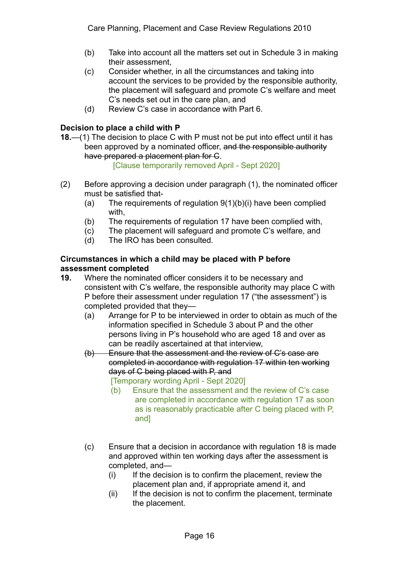- (b) Take into account all the matters set out in Schedule 3 in making their assessment,
- (c) Consider whether, in all the circumstances and taking into account the services to be provided by the responsible authority, the placement will safeguard and promote C's welfare and meet C's needs set out in the care plan, and
- (d) Review C's case in accordance with Part 6.

## **Decision to place a child with P**

**18.**—(1) The decision to place C with P must not be put into effect until it has been approved by a nominated officer, and the responsible authority have prepared a placement plan for C.

[Clause temporarily removed April - Sept 2020]

- (2) Before approving a decision under paragraph (1), the nominated officer must be satisfied that-
	- (a) The requirements of regulation 9(1)(b)(i) have been complied with,
	- (b) The requirements of regulation 17 have been complied with,
	- (c) The placement will safeguard and promote C's welfare, and
	- (d) The IRO has been consulted.

#### **Circumstances in which a child may be placed with P before assessment completed**

- **19.** Where the nominated officer considers it to be necessary and consistent with C's welfare, the responsible authority may place C with P before their assessment under regulation 17 ("the assessment") is completed provided that they—
	- (a) Arrange for P to be interviewed in order to obtain as much of the information specified in Schedule 3 about P and the other persons living in P's household who are aged 18 and over as can be readily ascertained at that interview,
	- (b) Ensure that the assessment and the review of C's case are completed in accordance with regulation 17 within ten working days of C being placed with P, and

[Temporary wording April - Sept 2020]

- (b) Ensure that the assessment and the review of C's case are completed in accordance with regulation 17 as soon as is reasonably practicable after C being placed with P, and]
- (c) Ensure that a decision in accordance with regulation 18 is made and approved within ten working days after the assessment is completed, and—
	- $(i)$  If the decision is to confirm the placement, review the placement plan and, if appropriate amend it, and
	- (ii) If the decision is not to confirm the placement, terminate the placement.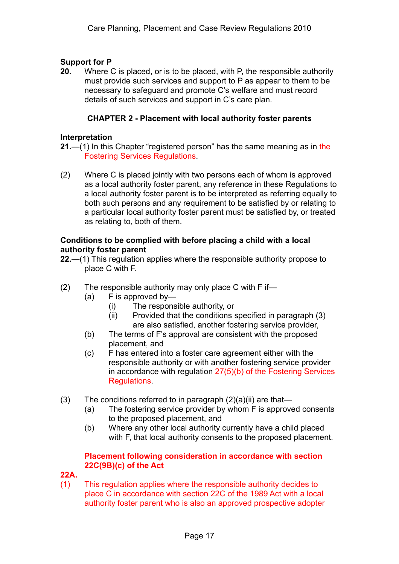#### **Support for P**

**20.** Where C is placed, or is to be placed, with P, the responsible authority must provide such services and support to P as appear to them to be necessary to safeguard and promote C's welfare and must record details of such services and support in C's care plan.

### **CHAPTER 2 - Placement with local authority foster parents**

#### **Interpretation**

- **21.**—(1) In this Chapter "registered person" has the same meaning as in the Fostering Services Regulations.
- (2) Where C is placed jointly with two persons each of whom is approved as a local authority foster parent, any reference in these Regulations to a local authority foster parent is to be interpreted as referring equally to both such persons and any requirement to be satisfied by or relating to a particular local authority foster parent must be satisfied by, or treated as relating to, both of them.

#### **Conditions to be complied with before placing a child with a local authority foster parent**

- **22.**—(1) This regulation applies where the responsible authority propose to place C with F.
- (2) The responsible authority may only place C with F if—
	- (a) F is approved by—
		- (i) The responsible authority, or
		- (ii) Provided that the conditions specified in paragraph (3) are also satisfied, another fostering service provider,
	- (b) The terms of F's approval are consistent with the proposed placement, and
	- (c) F has entered into a foster care agreement either with the responsible authority or with another fostering service provider in accordance with regulation 27(5)(b) of the Fostering Services **Requlations**
- (3) The conditions referred to in paragraph  $(2)(a)(ii)$  are that-
	- (a) The fostering service provider by whom F is approved consents to the proposed placement, and
	- (b) Where any other local authority currently have a child placed with F, that local authority consents to the proposed placement.

### **Placement following consideration in accordance with section 22C(9B)(c) of the Act**

#### **22A.**

(1) This regulation applies where the responsible authority decides to place C in accordance with section 22C of the 1989 Act with a local authority foster parent who is also an approved prospective adopter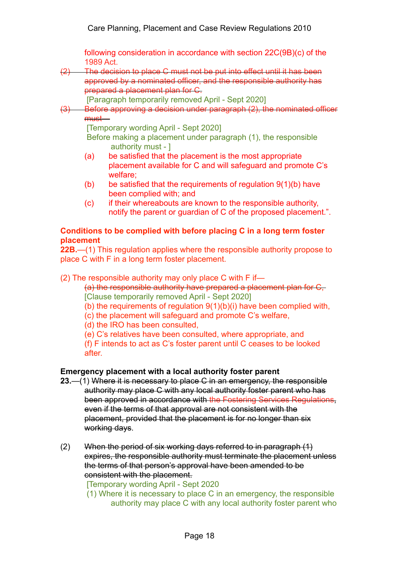following consideration in accordance with section 22C(9B)(c) of the 1989 Act.

(2) The decision to place C must not be put into effect until it has been approved by a nominated officer, and the responsible authority has prepared a placement plan for C.

[Paragraph temporarily removed April - Sept 2020]

(3) Before approving a decision under paragraph (2), the nominated officer must—

[Temporary wording April - Sept 2020]

Before making a placement under paragraph (1), the responsible authority must - ]

- (a) be satisfied that the placement is the most appropriate placement available for C and will safeguard and promote C's welfare;
- (b) be satisfied that the requirements of regulation  $9(1)(b)$  have been complied with; and
- (c) if their whereabouts are known to the responsible authority, notify the parent or guardian of C of the proposed placement.".

## **Conditions to be complied with before placing C in a long term foster placement**

**22B.**—(1) This regulation applies where the responsible authority propose to place C with F in a long term foster placement.

(2) The responsible authority may only place C with F if—

(a) the responsible authority have prepared a placement plan for C, [Clause temporarily removed April - Sept 2020]

- (b) the requirements of regulation 9(1)(b)(i) have been complied with,
- (c) the placement will safeguard and promote C's welfare,
- (d) the IRO has been consulted,

(e) C's relatives have been consulted, where appropriate, and

(f) F intends to act as C's foster parent until C ceases to be looked after.

## **Emergency placement with a local authority foster parent**

- **23.**—(1) Where it is necessary to place C in an emergency, the responsible authority may place C with any local authority foster parent who has been approved in accordance with the Fostering Services Regulations. even if the terms of that approval are not consistent with the placement, provided that the placement is for no longer than six working days.
- (2) When the period of six working days referred to in paragraph (1) expires, the responsible authority must terminate the placement unless the terms of that person's approval have been amended to be consistent with the placement.

[Temporary wording April - Sept 2020

(1) Where it is necessary to place C in an emergency, the responsible authority may place C with any local authority foster parent who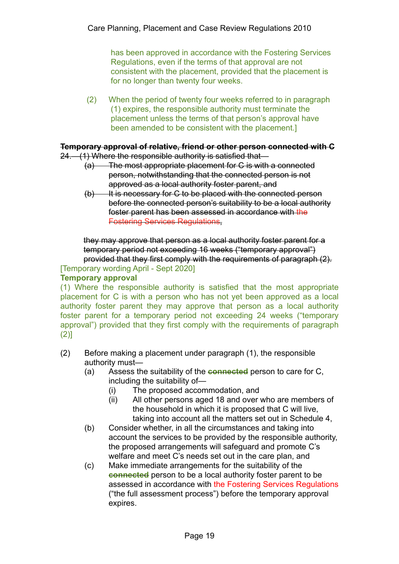has been approved in accordance with the Fostering Services Regulations, even if the terms of that approval are not consistent with the placement, provided that the placement is for no longer than twenty four weeks.

(2) When the period of twenty four weeks referred to in paragraph (1) expires, the responsible authority must terminate the placement unless the terms of that person's approval have been amended to be consistent with the placement.]

#### **Temporary approval of relative, friend or other person connected with C**

24.—(1) Where the responsible authority is satisfied that—

- (a) The most appropriate placement for C is with a connected person, notwithstanding that the connected person is not approved as a local authority foster parent, and
- $(b)$  It is necessary for C to be placed with the connected person before the connected person's suitability to be a local authority foster parent has been assessed in accordance with the Fostering Services Regulations,

they may approve that person as a local authority foster parent for a temporary period not exceeding 16 weeks ("temporary approval") provided that they first comply with the requirements of paragraph (2).

[Temporary wording April - Sept 2020]

#### **Temporary approval**

(1) Where the responsible authority is satisfied that the most appropriate placement for C is with a person who has not yet been approved as a local authority foster parent they may approve that person as a local authority foster parent for a temporary period not exceeding 24 weeks ("temporary approval") provided that they first comply with the requirements of paragraph  $(2)$ ]

- (2) Before making a placement under paragraph (1), the responsible authority must—
	- (a) Assess the suitability of the **connected** person to care for C, including the suitability of—
		- (i) The proposed accommodation, and
		- (ii) All other persons aged 18 and over who are members of the household in which it is proposed that C will live, taking into account all the matters set out in Schedule 4,
	- (b) Consider whether, in all the circumstances and taking into account the services to be provided by the responsible authority, the proposed arrangements will safeguard and promote C's welfare and meet C's needs set out in the care plan, and
	- (c) Make immediate arrangements for the suitability of the **connected** person to be a local authority foster parent to be assessed in accordance with the Fostering Services Regulations ("the full assessment process") before the temporary approval expires.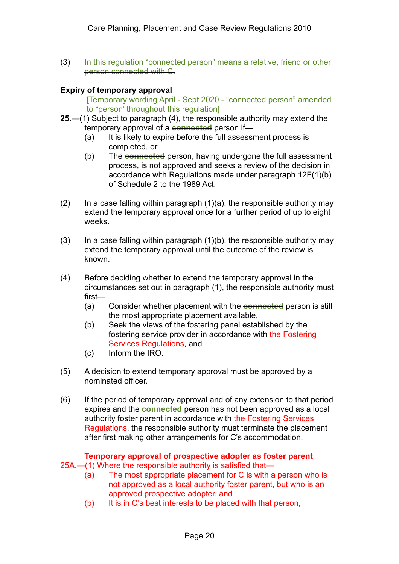(3) In this regulation "connected person" means a relative, friend or other person connected with C.

## **Expiry of temporary approval**

[Temporary wording April - Sept 2020 - "connected person" amended to "person' throughout this regulation]

- **25.**—(1) Subject to paragraph (4), the responsible authority may extend the temporary approval of a **connected** person if—
	- (a) It is likely to expire before the full assessment process is completed, or
	- (b) The **connected** person, having undergone the full assessment process, is not approved and seeks a review of the decision in accordance with Regulations made under paragraph 12F(1)(b) of Schedule 2 to the 1989 Act.
- (2) In a case falling within paragraph  $(1)(a)$ , the responsible authority may extend the temporary approval once for a further period of up to eight weeks.
- $(3)$  In a case falling within paragraph  $(1)(b)$ , the responsible authority may extend the temporary approval until the outcome of the review is known.
- (4) Before deciding whether to extend the temporary approval in the circumstances set out in paragraph (1), the responsible authority must first—
	- (a) Consider whether placement with the **connected** person is still the most appropriate placement available,
	- (b) Seek the views of the fostering panel established by the fostering service provider in accordance with the Fostering Services Regulations, and
	- (c) Inform the IRO.
- (5) A decision to extend temporary approval must be approved by a nominated officer.
- (6) If the period of temporary approval and of any extension to that period expires and the **connected** person has not been approved as a local authority foster parent in accordance with the Fostering Services Regulations, the responsible authority must terminate the placement after first making other arrangements for C's accommodation.

# **Temporary approval of prospective adopter as foster parent**

- 25A.—(1) Where the responsible authority is satisfied that—
	- (a) The most appropriate placement for C is with a person who is not approved as a local authority foster parent, but who is an approved prospective adopter, and
	- (b) It is in C's best interests to be placed with that person,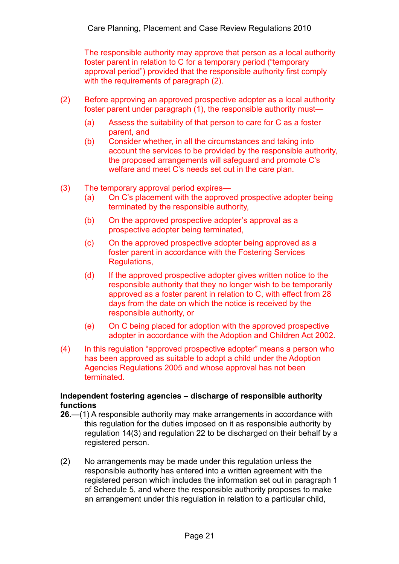The responsible authority may approve that person as a local authority foster parent in relation to C for a temporary period ("temporary approval period") provided that the responsible authority first comply with the requirements of paragraph (2).

- (2) Before approving an approved prospective adopter as a local authority foster parent under paragraph (1), the responsible authority must—
	- (a) Assess the suitability of that person to care for C as a foster parent, and
	- (b) Consider whether, in all the circumstances and taking into account the services to be provided by the responsible authority, the proposed arrangements will safeguard and promote C's welfare and meet C's needs set out in the care plan.
- (3) The temporary approval period expires—
	- (a) On C's placement with the approved prospective adopter being terminated by the responsible authority,
	- (b) On the approved prospective adopter's approval as a prospective adopter being terminated,
	- (c) On the approved prospective adopter being approved as a foster parent in accordance with the Fostering Services Regulations,
	- (d) If the approved prospective adopter gives written notice to the responsible authority that they no longer wish to be temporarily approved as a foster parent in relation to C, with effect from 28 days from the date on which the notice is received by the responsible authority, or
	- (e) On C being placed for adoption with the approved prospective adopter in accordance with the Adoption and Children Act 2002.
- (4) In this regulation "approved prospective adopter" means a person who has been approved as suitable to adopt a child under the Adoption Agencies Regulations 2005 and whose approval has not been terminated.

#### **Independent fostering agencies – discharge of responsible authority functions**

- **26.**—(1) A responsible authority may make arrangements in accordance with this regulation for the duties imposed on it as responsible authority by regulation 14(3) and regulation 22 to be discharged on their behalf by a registered person.
- (2) No arrangements may be made under this regulation unless the responsible authority has entered into a written agreement with the registered person which includes the information set out in paragraph 1 of Schedule 5, and where the responsible authority proposes to make an arrangement under this regulation in relation to a particular child,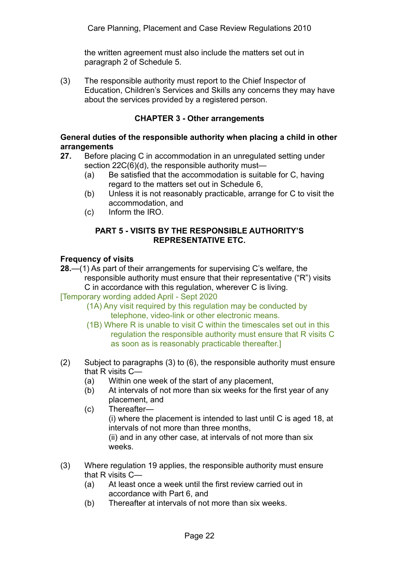the written agreement must also include the matters set out in paragraph 2 of Schedule 5.

(3) The responsible authority must report to the Chief Inspector of Education, Children's Services and Skills any concerns they may have about the services provided by a registered person.

## **CHAPTER 3 - Other arrangements**

### **General duties of the responsible authority when placing a child in other arrangements**

- **27.** Before placing C in accommodation in an unregulated setting under section 22C(6)(d), the responsible authority must—
	- (a) Be satisfied that the accommodation is suitable for C, having regard to the matters set out in Schedule 6,
	- (b) Unless it is not reasonably practicable, arrange for C to visit the accommodation, and
	- (c) Inform the IRO.

#### **PART 5 - VISITS BY THE RESPONSIBLE AUTHORITY'S REPRESENTATIVE ETC.**

### **Frequency of visits**

**28.**—(1) As part of their arrangements for supervising C's welfare, the responsible authority must ensure that their representative ("R") visits C in accordance with this regulation, wherever C is living.

[Temporary wording added April - Sept 2020

- (1A) Any visit required by this regulation may be conducted by telephone, video-link or other electronic means.
- (1B) Where R is unable to visit C within the timescales set out in this regulation the responsible authority must ensure that R visits C as soon as is reasonably practicable thereafter.]
- (2) Subject to paragraphs (3) to (6), the responsible authority must ensure that R visits C—
	- (a) Within one week of the start of any placement,
	- (b) At intervals of not more than six weeks for the first year of any placement, and
	- (c) Thereafter— (i) where the placement is intended to last until C is aged 18, at intervals of not more than three months, (ii) and in any other case, at intervals of not more than six weeks.
- (3) Where regulation 19 applies, the responsible authority must ensure that R visits C—
	- (a) At least once a week until the first review carried out in accordance with Part 6, and
	- (b) Thereafter at intervals of not more than six weeks.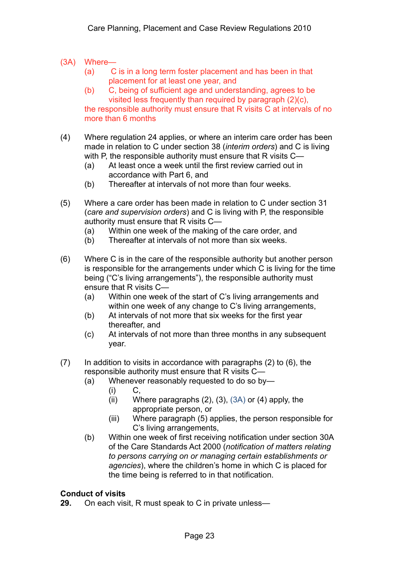- (3A) Where—
	- (a) C is in a long term foster placement and has been in that placement for at least one year, and
	- (b) C, being of sufficient age and understanding, agrees to be visited less frequently than required by paragraph (2)(c),

the responsible authority must ensure that R visits C at intervals of no more than 6 months

- (4) Where regulation 24 applies, or where an interim care order has been made in relation to C under section 38 (*interim orders*) and C is living with P, the responsible authority must ensure that R visits C-
	- (a) At least once a week until the first review carried out in accordance with Part 6, and
	- (b) Thereafter at intervals of not more than four weeks.
- (5) Where a care order has been made in relation to C under section 31 (*care and supervision orders*) and C is living with P, the responsible authority must ensure that R visits C—
	- (a) Within one week of the making of the care order, and
	- (b) Thereafter at intervals of not more than six weeks.
- (6) Where C is in the care of the responsible authority but another person is responsible for the arrangements under which C is living for the time being ("C's living arrangements"), the responsible authority must ensure that R visits C—
	- (a) Within one week of the start of C's living arrangements and within one week of any change to C's living arrangements,
	- (b) At intervals of not more that six weeks for the first year thereafter, and
	- (c) At intervals of not more than three months in any subsequent year.
- (7) In addition to visits in accordance with paragraphs (2) to (6), the responsible authority must ensure that R visits C—
	- (a) Whenever reasonably requested to do so by—
		- $(i)$  C,
		- (ii) Where paragraphs  $(2)$ ,  $(3)$ ,  $(3A)$  or  $(4)$  apply, the appropriate person, or
		- (iii) Where paragraph (5) applies, the person responsible for C's living arrangements,
	- (b) Within one week of first receiving notification under section 30A of the Care Standards Act 2000 (*notification of matters relating to persons carrying on or managing certain establishments or agencies*), where the children's home in which C is placed for the time being is referred to in that notification.

## **Conduct of visits**

**29.** On each visit, R must speak to C in private unless—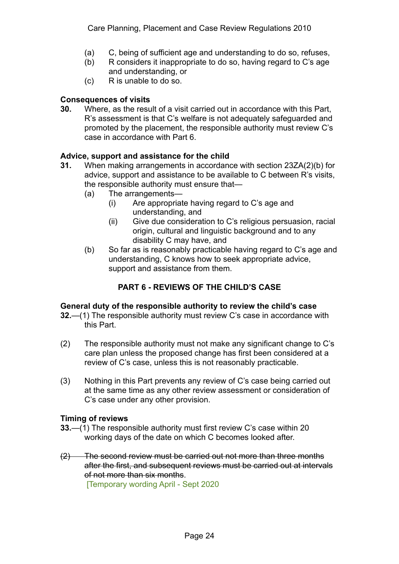- (a) C, being of sufficient age and understanding to do so, refuses,
- (b) R considers it inappropriate to do so, having regard to C's age and understanding, or
- (c) R is unable to do so.

## **Consequences of visits**

**30.** Where, as the result of a visit carried out in accordance with this Part, R's assessment is that C's welfare is not adequately safeguarded and promoted by the placement, the responsible authority must review C's case in accordance with Part 6.

## **Advice, support and assistance for the child**

- **31.** When making arrangements in accordance with section 23ZA(2)(b) for advice, support and assistance to be available to C between R's visits, the responsible authority must ensure that—
	- (a) The arrangements—
		- (i) Are appropriate having regard to C's age and understanding, and
		- (ii) Give due consideration to C's religious persuasion, racial origin, cultural and linguistic background and to any disability C may have, and
	- (b) So far as is reasonably practicable having regard to C's age and understanding, C knows how to seek appropriate advice, support and assistance from them.

# **PART 6 - REVIEWS OF THE CHILD'S CASE**

## **General duty of the responsible authority to review the child's case**

- **32.**—(1) The responsible authority must review C's case in accordance with this Part.
- (2) The responsible authority must not make any significant change to C's care plan unless the proposed change has first been considered at a review of C's case, unless this is not reasonably practicable.
- (3) Nothing in this Part prevents any review of C's case being carried out at the same time as any other review assessment or consideration of C's case under any other provision.

## **Timing of reviews**

- **33.**—(1) The responsible authority must first review C's case within 20 working days of the date on which C becomes looked after.
- (2) The second review must be carried out not more than three months after the first, and subsequent reviews must be carried out at intervals of not more than six months.

[Temporary wording April - Sept 2020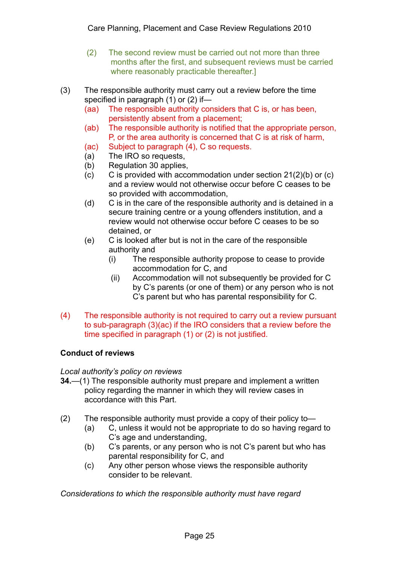- (2) The second review must be carried out not more than three months after the first, and subsequent reviews must be carried where reasonably practicable thereafter.]
- (3) The responsible authority must carry out a review before the time specified in paragraph (1) or (2) if—
	- (aa) The responsible authority considers that C is, or has been, persistently absent from a placement;
	- (ab) The responsible authority is notified that the appropriate person, P, or the area authority is concerned that C is at risk of harm,
	- (ac) Subject to paragraph (4), C so requests.
	- (a) The IRO so requests,
	- (b) Regulation 30 applies,
	- (c) C is provided with accommodation under section 21(2)(b) or (c) and a review would not otherwise occur before C ceases to be so provided with accommodation,
	- (d) C is in the care of the responsible authority and is detained in a secure training centre or a young offenders institution, and a review would not otherwise occur before C ceases to be so detained, or
	- (e) C is looked after but is not in the care of the responsible authority and
		- (i) The responsible authority propose to cease to provide accommodation for C, and
		- (ii) Accommodation will not subsequently be provided for C by C's parents (or one of them) or any person who is not C's parent but who has parental responsibility for C.
- (4) The responsible authority is not required to carry out a review pursuant to sub-paragraph (3)(ac) if the IRO considers that a review before the time specified in paragraph (1) or (2) is not justified.

## **Conduct of reviews**

*Local authority's policy on reviews* 

- **34.**—(1) The responsible authority must prepare and implement a written policy regarding the manner in which they will review cases in accordance with this Part.
- (2) The responsible authority must provide a copy of their policy to—
	- (a) C, unless it would not be appropriate to do so having regard to C's age and understanding,
	- (b) C's parents, or any person who is not C's parent but who has parental responsibility for C, and
	- (c) Any other person whose views the responsible authority consider to be relevant.

*Considerations to which the responsible authority must have regard*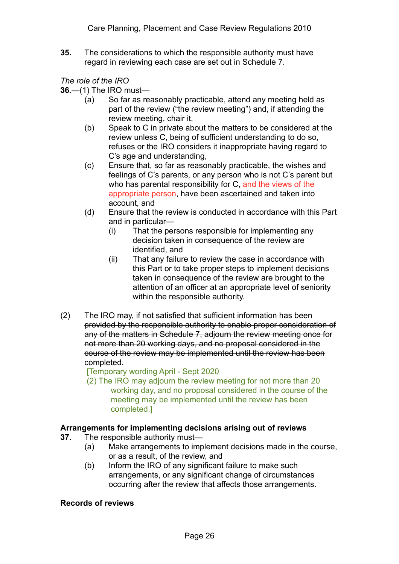**35.** The considerations to which the responsible authority must have regard in reviewing each case are set out in Schedule 7.

*The role of the IRO* 

**36.**—(1) The IRO must—

- (a) So far as reasonably practicable, attend any meeting held as part of the review ("the review meeting") and, if attending the review meeting, chair it,
- (b) Speak to C in private about the matters to be considered at the review unless C, being of sufficient understanding to do so, refuses or the IRO considers it inappropriate having regard to C's age and understanding,
- (c) Ensure that, so far as reasonably practicable, the wishes and feelings of C's parents, or any person who is not C's parent but who has parental responsibility for C, and the views of the appropriate person, have been ascertained and taken into account, and
- (d) Ensure that the review is conducted in accordance with this Part and in particular—
	- (i) That the persons responsible for implementing any decision taken in consequence of the review are identified, and
	- (ii) That any failure to review the case in accordance with this Part or to take proper steps to implement decisions taken in consequence of the review are brought to the attention of an officer at an appropriate level of seniority within the responsible authority.
- (2) The IRO may, if not satisfied that sufficient information has been provided by the responsible authority to enable proper consideration of any of the matters in Schedule 7, adjourn the review meeting once for not more than 20 working days, and no proposal considered in the course of the review may be implemented until the review has been completed.

[Temporary wording April - Sept 2020

(2) The IRO may adjourn the review meeting for not more than 20 working day, and no proposal considered in the course of the meeting may be implemented until the review has been completed.]

## **Arrangements for implementing decisions arising out of reviews**

- **37.** The responsible authority must—
	- (a) Make arrangements to implement decisions made in the course, or as a result, of the review, and
	- (b) Inform the IRO of any significant failure to make such arrangements, or any significant change of circumstances occurring after the review that affects those arrangements.

## **Records of reviews**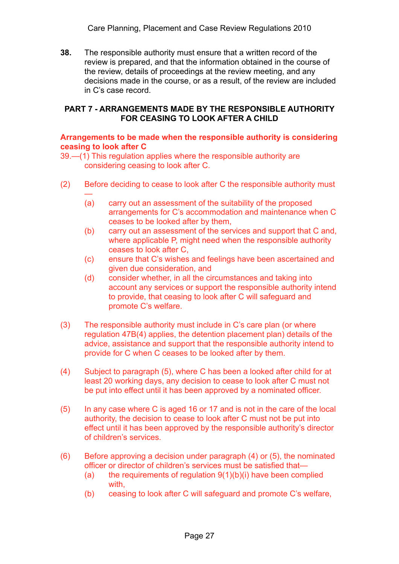Care Planning, Placement and Case Review Regulations 2010

**38.** The responsible authority must ensure that a written record of the review is prepared, and that the information obtained in the course of the review, details of proceedings at the review meeting, and any decisions made in the course, or as a result, of the review are included in C's case record.

#### **PART 7 - ARRANGEMENTS MADE BY THE RESPONSIBLE AUTHORITY FOR CEASING TO LOOK AFTER A CHILD**

#### **Arrangements to be made when the responsible authority is considering ceasing to look after C**

39.—(1) This regulation applies where the responsible authority are considering ceasing to look after C.

- (2) Before deciding to cease to look after C the responsible authority must
	- (a) carry out an assessment of the suitability of the proposed arrangements for C's accommodation and maintenance when C ceases to be looked after by them,
	- (b) carry out an assessment of the services and support that C and, where applicable P, might need when the responsible authority ceases to look after C,
	- (c) ensure that C's wishes and feelings have been ascertained and given due consideration, and
	- (d) consider whether, in all the circumstances and taking into account any services or support the responsible authority intend to provide, that ceasing to look after C will safeguard and promote C's welfare.
- (3) The responsible authority must include in C's care plan (or where regulation 47B(4) applies, the detention placement plan) details of the advice, assistance and support that the responsible authority intend to provide for C when C ceases to be looked after by them.
- (4) Subject to paragraph (5), where C has been a looked after child for at least 20 working days, any decision to cease to look after C must not be put into effect until it has been approved by a nominated officer.
- (5) In any case where C is aged 16 or 17 and is not in the care of the local authority, the decision to cease to look after C must not be put into effect until it has been approved by the responsible authority's director of children's services.
- (6) Before approving a decision under paragraph (4) or (5), the nominated officer or director of children's services must be satisfied that—
	- (a) the requirements of requiation  $9(1)(b)(i)$  have been complied with,
	- (b) ceasing to look after C will safeguard and promote C's welfare,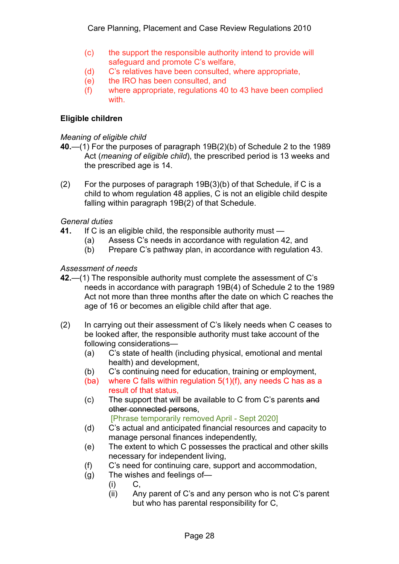- (c) the support the responsible authority intend to provide will safeguard and promote C's welfare,
- (d) C's relatives have been consulted, where appropriate,
- (e) the IRO has been consulted, and
- (f) where appropriate, regulations 40 to 43 have been complied with.

### **Eligible children**

#### *Meaning of eligible child*

- **40.**—(1) For the purposes of paragraph 19B(2)(b) of Schedule 2 to the 1989 Act (*meaning of eligible child*), the prescribed period is 13 weeks and the prescribed age is 14.
- (2) For the purposes of paragraph 19B(3)(b) of that Schedule, if C is a child to whom regulation 48 applies, C is not an eligible child despite falling within paragraph 19B(2) of that Schedule.

#### *General duties*

- **41.** If C is an eligible child, the responsible authority must
	- (a) Assess C's needs in accordance with regulation 42, and
	- (b) Prepare C's pathway plan, in accordance with regulation 43.

#### *Assessment of needs*

- **42.**—(1) The responsible authority must complete the assessment of C's needs in accordance with paragraph 19B(4) of Schedule 2 to the 1989 Act not more than three months after the date on which C reaches the age of 16 or becomes an eligible child after that age.
- (2) In carrying out their assessment of C's likely needs when C ceases to be looked after, the responsible authority must take account of the following considerations—
	- (a) C's state of health (including physical, emotional and mental health) and development,
	- (b) C's continuing need for education, training or employment,
	- (ba) where C falls within regulation 5(1)(f), any needs C has as a result of that status,
	- (c) The support that will be available to C from C's parents and other connected persons,

[Phrase temporarily removed April - Sept 2020]

- (d) C's actual and anticipated financial resources and capacity to manage personal finances independently,
- (e) The extent to which C possesses the practical and other skills necessary for independent living,
- (f) C's need for continuing care, support and accommodation,
- (g) The wishes and feelings of—
	- (i) C,
	- (ii) Any parent of C's and any person who is not C's parent but who has parental responsibility for C,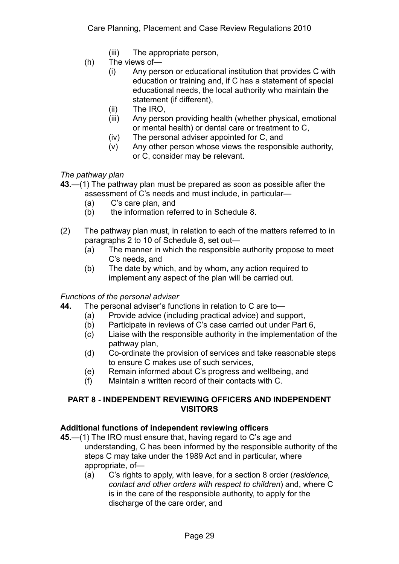- (iii) The appropriate person,
- (h) The views of—
	- (i) Any person or educational institution that provides C with education or training and, if C has a statement of special educational needs, the local authority who maintain the statement (if different),
	- (ii) The IRO,
	- (iii) Any person providing health (whether physical, emotional or mental health) or dental care or treatment to C,
	- (iv) The personal adviser appointed for C, and
	- (v) Any other person whose views the responsible authority, or C, consider may be relevant.

*The pathway plan* 

- **43.**—(1) The pathway plan must be prepared as soon as possible after the assessment of C's needs and must include, in particular—
	- (a) C's care plan, and
	- (b) the information referred to in Schedule 8.
- (2) The pathway plan must, in relation to each of the matters referred to in paragraphs 2 to 10 of Schedule 8, set out—
	- (a) The manner in which the responsible authority propose to meet C's needs, and
	- (b) The date by which, and by whom, any action required to implement any aspect of the plan will be carried out.

#### *Functions of the personal adviser*

- **44.** The personal adviser's functions in relation to C are to—
	- (a) Provide advice (including practical advice) and support,
	- (b) Participate in reviews of C's case carried out under Part 6,
	- (c) Liaise with the responsible authority in the implementation of the pathway plan,
	- (d) Co-ordinate the provision of services and take reasonable steps to ensure C makes use of such services,
	- (e) Remain informed about C's progress and wellbeing, and
	- (f) Maintain a written record of their contacts with C.

### **PART 8 - INDEPENDENT REVIEWING OFFICERS AND INDEPENDENT VISITORS**

#### **Additional functions of independent reviewing officers**

- **45.**—(1) The IRO must ensure that, having regard to C's age and understanding, C has been informed by the responsible authority of the steps C may take under the 1989 Act and in particular, where appropriate, of—
	- (a) C's rights to apply, with leave, for a section 8 order (*residence, contact and other orders with respect to children*) and, where C is in the care of the responsible authority, to apply for the discharge of the care order, and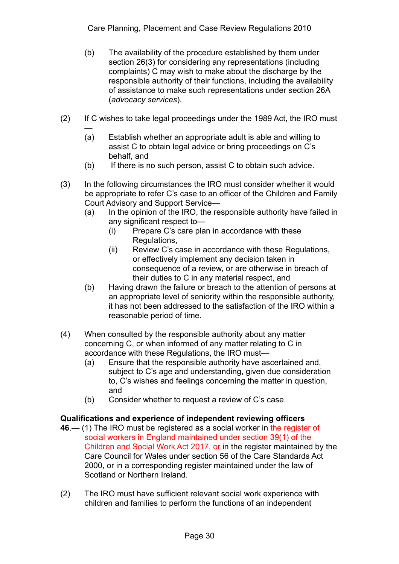- (b) The availability of the procedure established by them under section 26(3) for considering any representations (including complaints) C may wish to make about the discharge by the responsible authority of their functions, including the availability of assistance to make such representations under section 26A (*advocacy services*).
- (2) If C wishes to take legal proceedings under the 1989 Act, the IRO must
	- (a) Establish whether an appropriate adult is able and willing to assist C to obtain legal advice or bring proceedings on C's behalf, and
	- $(b)$  If there is no such person, assist C to obtain such advice.
- (3) In the following circumstances the IRO must consider whether it would be appropriate to refer C's case to an officer of the Children and Family Court Advisory and Support Service—
	- (a) In the opinion of the IRO, the responsible authority have failed in any significant respect to—
		- (i) Prepare C's care plan in accordance with these Regulations,
		- (ii) Review C's case in accordance with these Regulations, or effectively implement any decision taken in consequence of a review, or are otherwise in breach of their duties to C in any material respect, and
	- (b) Having drawn the failure or breach to the attention of persons at an appropriate level of seniority within the responsible authority, it has not been addressed to the satisfaction of the IRO within a reasonable period of time.
- (4) When consulted by the responsible authority about any matter concerning C, or when informed of any matter relating to C in accordance with these Regulations, the IRO must—
	- (a) Ensure that the responsible authority have ascertained and, subject to C's age and understanding, given due consideration to, C's wishes and feelings concerning the matter in question, and
	- (b) Consider whether to request a review of C's case.

# **Qualifications and experience of independent reviewing officers**

- **46**.— (1) The IRO must be registered as a social worker in the register of social workers in England maintained under section 39(1) of the Children and Social Work Act 2017, or in the register maintained by the Care Council for Wales under section 56 of the Care Standards Act 2000, or in a corresponding register maintained under the law of Scotland or Northern Ireland.
- (2) The IRO must have sufficient relevant social work experience with children and families to perform the functions of an independent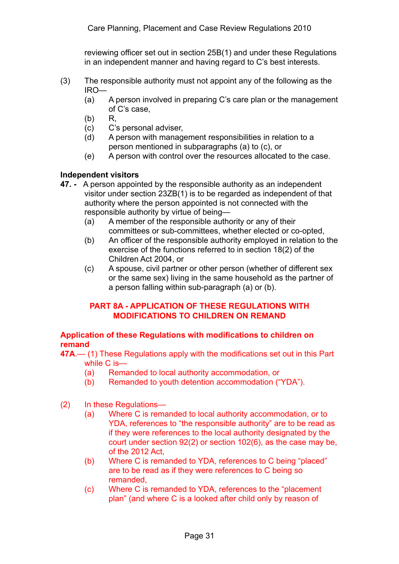reviewing officer set out in section 25B(1) and under these Regulations in an independent manner and having regard to C's best interests.

- (3) The responsible authority must not appoint any of the following as the IRO—
	- (a) A person involved in preparing C's care plan or the management of C's case,
	- $(b)$  R.
	- (c) C's personal adviser,
	- (d) A person with management responsibilities in relation to a person mentioned in subparagraphs (a) to (c), or
	- (e) A person with control over the resources allocated to the case.

## **Independent visitors**

- **47.** A person appointed by the responsible authority as an independent visitor under section 23ZB(1) is to be regarded as independent of that authority where the person appointed is not connected with the responsible authority by virtue of being—
	- (a) A member of the responsible authority or any of their committees or sub-committees, whether elected or co-opted,
	- (b) An officer of the responsible authority employed in relation to the exercise of the functions referred to in section 18(2) of the Children Act 2004, or
	- (c) A spouse, civil partner or other person (whether of different sex or the same sex) living in the same household as the partner of a person falling within sub-paragraph (a) or (b).

## **PART 8A - APPLICATION OF THESE REGULATIONS WITH MODIFICATIONS TO CHILDREN ON REMAND**

### **Application of these Regulations with modifications to children on remand**

**47A**.— (1) These Regulations apply with the modifications set out in this Part while C is—

- (a) Remanded to local authority accommodation, or
- (b) Remanded to youth detention accommodation ("YDA").
- (2) In these Regulations—
	- (a) Where C is remanded to local authority accommodation, or to YDA, references to "the responsible authority" are to be read as if they were references to the local authority designated by the court under section 92(2) or section 102(6), as the case may be, of the 2012 Act,
	- (b) Where C is remanded to YDA, references to C being "placed" are to be read as if they were references to C being so remanded,
	- (c) Where C is remanded to YDA, references to the "placement plan" (and where C is a looked after child only by reason of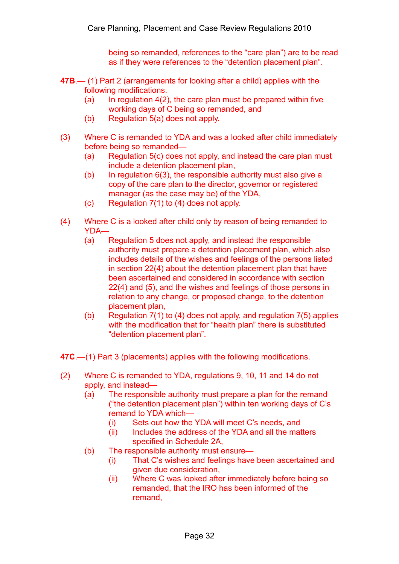being so remanded, references to the "care plan") are to be read as if they were references to the "detention placement plan".

- **47B**.— (1) Part 2 (arrangements for looking after a child) applies with the following modifications.
	- (a) In regulation  $4(2)$ , the care plan must be prepared within five working days of C being so remanded, and
	- (b) Regulation 5(a) does not apply.
- (3) Where C is remanded to YDA and was a looked after child immediately before being so remanded—
	- (a) Regulation 5(c) does not apply, and instead the care plan must include a detention placement plan,
	- (b) In regulation  $6(3)$ , the responsible authority must also give a copy of the care plan to the director, governor or registered manager (as the case may be) of the YDA,
	- (c) Regulation 7(1) to (4) does not apply.
- (4) Where C is a looked after child only by reason of being remanded to YDA—
	- (a) Regulation 5 does not apply, and instead the responsible authority must prepare a detention placement plan, which also includes details of the wishes and feelings of the persons listed in section 22(4) about the detention placement plan that have been ascertained and considered in accordance with section 22(4) and (5), and the wishes and feelings of those persons in relation to any change, or proposed change, to the detention placement plan,
	- (b) Regulation 7(1) to (4) does not apply, and regulation 7(5) applies with the modification that for "health plan" there is substituted "detention placement plan".
- **47C**.—(1) Part 3 (placements) applies with the following modifications.
- (2) Where C is remanded to YDA, regulations 9, 10, 11 and 14 do not apply, and instead—
	- (a) The responsible authority must prepare a plan for the remand ("the detention placement plan") within ten working days of C's remand to YDA which—
		- (i) Sets out how the YDA will meet C's needs, and
		- (ii) Includes the address of the YDA and all the matters specified in Schedule 2A,
	- (b) The responsible authority must ensure—
		- (i) That C's wishes and feelings have been ascertained and given due consideration,
		- (ii) Where C was looked after immediately before being so remanded, that the IRO has been informed of the remand,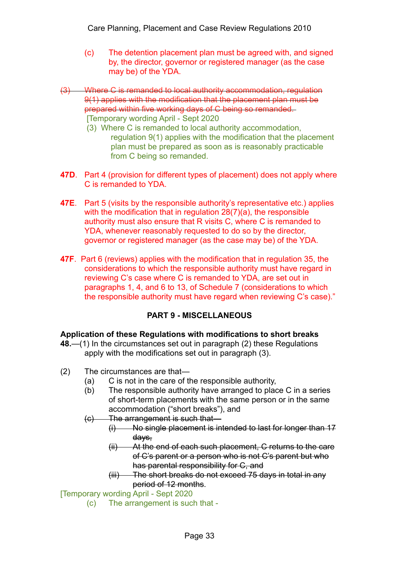- (c) The detention placement plan must be agreed with, and signed by, the director, governor or registered manager (as the case may be) of the YDA.
- Where C is remanded to local authority accommodation, regulation 9(1) applies with the modification that the placement plan must be prepared within five working days of C being so remanded. [Temporary wording April - Sept 2020
	- (3) Where C is remanded to local authority accommodation, regulation 9(1) applies with the modification that the placement plan must be prepared as soon as is reasonably practicable from C being so remanded.
- **47D**. Part 4 (provision for different types of placement) does not apply where C is remanded to YDA.
- **47E**. Part 5 (visits by the responsible authority's representative etc.) applies with the modification that in regulation 28(7)(a), the responsible authority must also ensure that R visits C, where C is remanded to YDA, whenever reasonably requested to do so by the director, governor or registered manager (as the case may be) of the YDA.
- **47F**. Part 6 (reviews) applies with the modification that in regulation 35, the considerations to which the responsible authority must have regard in reviewing C's case where C is remanded to YDA, are set out in paragraphs 1, 4, and 6 to 13, of Schedule 7 (considerations to which the responsible authority must have regard when reviewing C's case)."

# **PART 9 - MISCELLANEOUS**

## **Application of these Regulations with modifications to short breaks**

- **48.**—(1) In the circumstances set out in paragraph (2) these Regulations apply with the modifications set out in paragraph (3).
- (2) The circumstances are that—
	- (a) C is not in the care of the responsible authority,
	- (b) The responsible authority have arranged to place C in a series of short-term placements with the same person or in the same accommodation ("short breaks"), and
	- (c) The arrangement is such that—
		- (i) No single placement is intended to last for longer than 17 days,
		- (ii) At the end of each such placement, C returns to the care of C's parent or a person who is not C's parent but who has parental responsibility for C, and
		- (iii) The short breaks do not exceed 75 days in total in any period of 12 months.

## [Temporary wording April - Sept 2020

(c) The arrangement is such that -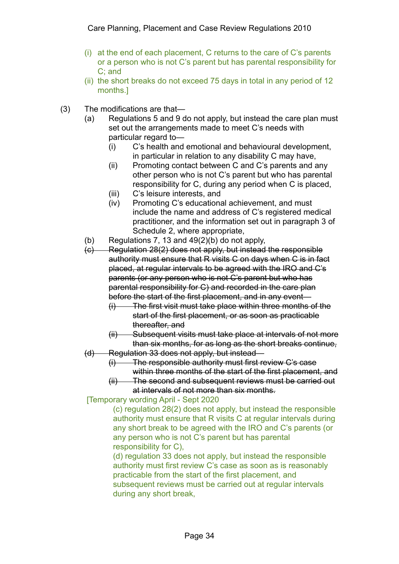- (i) at the end of each placement, C returns to the care of C's parents or a person who is not C's parent but has parental responsibility for C; and
- (ii) the short breaks do not exceed 75 days in total in any period of 12 months.]
- (3) The modifications are that—
	- (a) Regulations 5 and 9 do not apply, but instead the care plan must set out the arrangements made to meet C's needs with particular regard to—
		- (i) C's health and emotional and behavioural development, in particular in relation to any disability C may have,
		- (ii) Promoting contact between C and C's parents and any other person who is not C's parent but who has parental responsibility for C, during any period when C is placed,
		- (iii) C's leisure interests, and
		- (iv) Promoting C's educational achievement, and must include the name and address of C's registered medical practitioner, and the information set out in paragraph 3 of Schedule 2, where appropriate,
	- (b) Regulations 7, 13 and 49(2)(b) do not apply,
	- (c) Regulation 28(2) does not apply, but instead the responsible authority must ensure that R visits C on days when C is in fact placed, at regular intervals to be agreed with the IRO and C's parents (or any person who is not C's parent but who has parental responsibility for C) and recorded in the care plan before the start of the first placement, and in any event—
		- (i) The first visit must take place within three months of the start of the first placement, or as soon as practicable thereafter, and
		- (ii) Subsequent visits must take place at intervals of not more than six months, for as long as the short breaks continue,
	- (d) Regulation 33 does not apply, but instead—
		- (i) The responsible authority must first review C's case within three months of the start of the first placement, and
		- (ii) The second and subsequent reviews must be carried out at intervals of not more than six months.

[Temporary wording April - Sept 2020

(c) regulation 28(2) does not apply, but instead the responsible authority must ensure that R visits C at regular intervals during any short break to be agreed with the IRO and C's parents (or any person who is not C's parent but has parental responsibility for C),

(d) regulation 33 does not apply, but instead the responsible authority must first review C's case as soon as is reasonably practicable from the start of the first placement, and subsequent reviews must be carried out at regular intervals during any short break,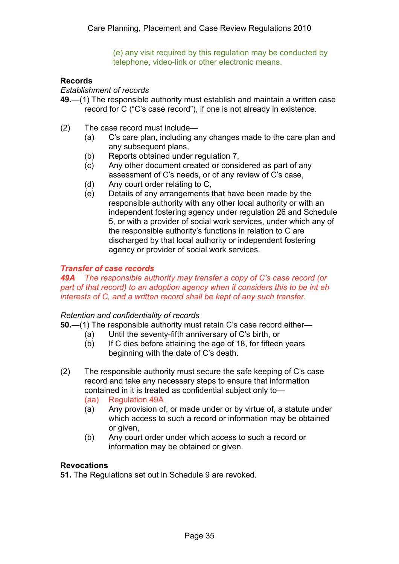(e) any visit required by this regulation may be conducted by telephone, video-link or other electronic means.

## **Records**

*Establishment of records* 

- **49.**—(1) The responsible authority must establish and maintain a written case record for C ("C's case record"), if one is not already in existence.
- (2) The case record must include—
	- (a) C's care plan, including any changes made to the care plan and any subsequent plans,
	- (b) Reports obtained under regulation 7,
	- (c) Any other document created or considered as part of any assessment of C's needs, or of any review of C's case,
	- (d) Any court order relating to C,
	- (e) Details of any arrangements that have been made by the responsible authority with any other local authority or with an independent fostering agency under regulation 26 and Schedule 5, or with a provider of social work services, under which any of the responsible authority's functions in relation to C are discharged by that local authority or independent fostering agency or provider of social work services.

### *Transfer of case records*

*49A The responsible authority may transfer a copy of C's case record (or part of that record) to an adoption agency when it considers this to be int eh interests of C, and a written record shall be kept of any such transfer.*

#### *Retention and confidentiality of records*

**50.**—(1) The responsible authority must retain C's case record either—

- (a) Until the seventy-fifth anniversary of C's birth, or
- (b) If C dies before attaining the age of 18, for fifteen years beginning with the date of C's death.
- (2) The responsible authority must secure the safe keeping of C's case record and take any necessary steps to ensure that information contained in it is treated as confidential subject only to—
	- (aa) Regulation 49A
	- (a) Any provision of, or made under or by virtue of, a statute under which access to such a record or information may be obtained or given,
	- (b) Any court order under which access to such a record or information may be obtained or given.

#### **Revocations**

**51.** The Regulations set out in Schedule 9 are revoked.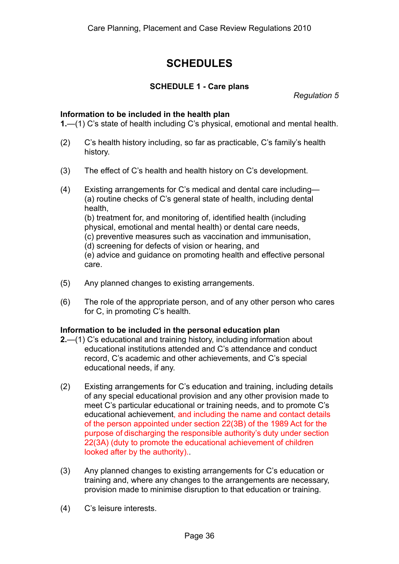# **SCHEDULES**

### **SCHEDULE 1 - Care plans**

*Regulation 5* 

#### **Information to be included in the health plan**

**1.**—(1) C's state of health including C's physical, emotional and mental health.

- (2) C's health history including, so far as practicable, C's family's health history.
- (3) The effect of C's health and health history on C's development.
- (4) Existing arrangements for C's medical and dental care including— (a) routine checks of C's general state of health, including dental health, (b) treatment for, and monitoring of, identified health (including physical, emotional and mental health) or dental care needs, (c) preventive measures such as vaccination and immunisation, (d) screening for defects of vision or hearing, and (e) advice and guidance on promoting health and effective personal care.
- (5) Any planned changes to existing arrangements.
- (6) The role of the appropriate person, and of any other person who cares for C, in promoting C's health.

#### **Information to be included in the personal education plan**

- **2.**—(1) C's educational and training history, including information about educational institutions attended and C's attendance and conduct record, C's academic and other achievements, and C's special educational needs, if any.
- (2) Existing arrangements for C's education and training, including details of any special educational provision and any other provision made to meet C's particular educational or training needs, and to promote C's educational achievement, and including the name and contact details of the person appointed under section 22(3B) of the 1989 Act for the purpose of discharging the responsible authority's duty under section 22(3A) (duty to promote the educational achievement of children looked after by the authority)..
- (3) Any planned changes to existing arrangements for C's education or training and, where any changes to the arrangements are necessary, provision made to minimise disruption to that education or training.
- (4) C's leisure interests.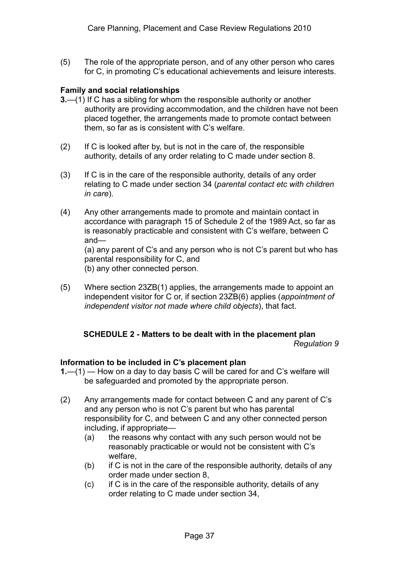(5) The role of the appropriate person, and of any other person who cares for C, in promoting C's educational achievements and leisure interests.

## **Family and social relationships**

- **3.**—(1) If C has a sibling for whom the responsible authority or another authority are providing accommodation, and the children have not been placed together, the arrangements made to promote contact between them, so far as is consistent with C's welfare.
- (2) If C is looked after by, but is not in the care of, the responsible authority, details of any order relating to C made under section 8.
- (3) If C is in the care of the responsible authority, details of any order relating to C made under section 34 (*parental contact etc with children in care*).
- (4) Any other arrangements made to promote and maintain contact in accordance with paragraph 15 of Schedule 2 of the 1989 Act, so far as is reasonably practicable and consistent with C's welfare, between C and— (a) any parent of C's and any person who is not C's parent but who has parental responsibility for C, and (b) any other connected person.
- (5) Where section 23ZB(1) applies, the arrangements made to appoint an independent visitor for C or, if section 23ZB(6) applies (*appointment of independent visitor not made where child objects*), that fact.

#### **SCHEDULE 2 - Matters to be dealt with in the placement plan**  *Regulation 9*

#### **Information to be included in C's placement plan**

- **1.**—(1) How on a day to day basis C will be cared for and C's welfare will be safeguarded and promoted by the appropriate person.
- (2) Any arrangements made for contact between C and any parent of C's and any person who is not C's parent but who has parental responsibility for C, and between C and any other connected person including, if appropriate—
	- (a) the reasons why contact with any such person would not be reasonably practicable or would not be consistent with C's welfare,
	- $(b)$  if C is not in the care of the responsible authority, details of any order made under section 8,
	- (c) if C is in the care of the responsible authority, details of any order relating to C made under section 34,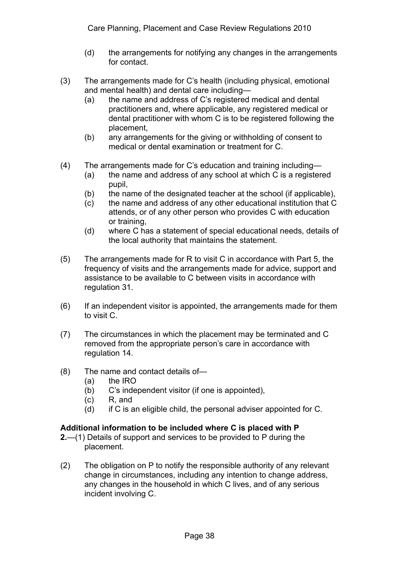- (d) the arrangements for notifying any changes in the arrangements for contact.
- (3) The arrangements made for C's health (including physical, emotional and mental health) and dental care including—
	- (a) the name and address of C's registered medical and dental practitioners and, where applicable, any registered medical or dental practitioner with whom C is to be registered following the placement,
	- (b) any arrangements for the giving or withholding of consent to medical or dental examination or treatment for C.
- (4) The arrangements made for C's education and training including—
	- (a) the name and address of any school at which C is a registered pupil,
	- (b) the name of the designated teacher at the school (if applicable),
	- (c) the name and address of any other educational institution that C attends, or of any other person who provides C with education or training,
	- (d) where C has a statement of special educational needs, details of the local authority that maintains the statement.
- (5) The arrangements made for R to visit C in accordance with Part 5, the frequency of visits and the arrangements made for advice, support and assistance to be available to C between visits in accordance with regulation 31.
- (6) If an independent visitor is appointed, the arrangements made for them to visit C.
- (7) The circumstances in which the placement may be terminated and C removed from the appropriate person's care in accordance with regulation 14.
- (8) The name and contact details of—
	- (a) the IRO
	- (b) C's independent visitor (if one is appointed),
	- (c) R, and
	- (d) if C is an eligible child, the personal adviser appointed for C.

## **Additional information to be included where C is placed with P**

- **2.**—(1) Details of support and services to be provided to P during the placement.
- (2) The obligation on P to notify the responsible authority of any relevant change in circumstances, including any intention to change address, any changes in the household in which C lives, and of any serious incident involving C.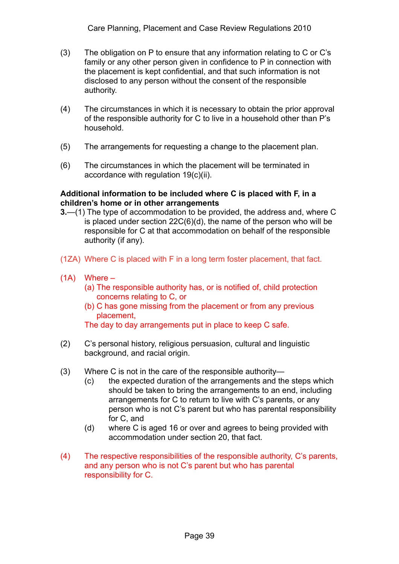- (3) The obligation on P to ensure that any information relating to C or C's family or any other person given in confidence to P in connection with the placement is kept confidential, and that such information is not disclosed to any person without the consent of the responsible authority.
- (4) The circumstances in which it is necessary to obtain the prior approval of the responsible authority for C to live in a household other than P's household.
- (5) The arrangements for requesting a change to the placement plan.
- (6) The circumstances in which the placement will be terminated in accordance with regulation 19(c)(ii).

### **Additional information to be included where C is placed with F, in a children's home or in other arrangements**

- **3.**—(1) The type of accommodation to be provided, the address and, where C is placed under section 22C(6)(d), the name of the person who will be responsible for C at that accommodation on behalf of the responsible authority (if any).
- (1ZA) Where C is placed with F in a long term foster placement, that fact.
- (1A) Where
	- (a) The responsible authority has, or is notified of, child protection concerns relating to C, or
	- (b) C has gone missing from the placement or from any previous placement,

The day to day arrangements put in place to keep C safe.

- (2) C's personal history, religious persuasion, cultural and linguistic background, and racial origin.
- (3) Where C is not in the care of the responsible authority—
	- (c) the expected duration of the arrangements and the steps which should be taken to bring the arrangements to an end, including arrangements for C to return to live with C's parents, or any person who is not C's parent but who has parental responsibility for C, and
	- (d) where C is aged 16 or over and agrees to being provided with accommodation under section 20, that fact.
- (4) The respective responsibilities of the responsible authority, C's parents, and any person who is not C's parent but who has parental responsibility for C.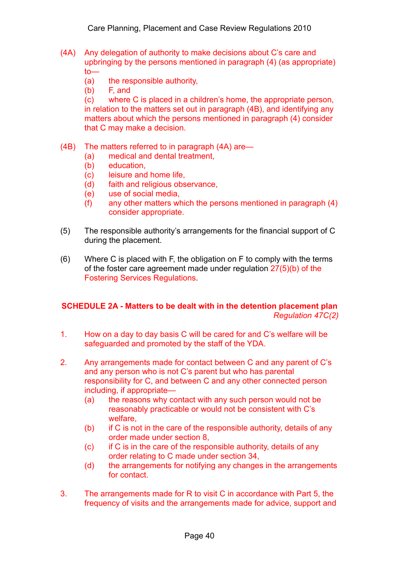- (4A) Any delegation of authority to make decisions about C's care and upbringing by the persons mentioned in paragraph (4) (as appropriate) to—
	- (a) the responsible authority,
	- (b) F, and

(c) where C is placed in a children's home, the appropriate person, in relation to the matters set out in paragraph (4B), and identifying any matters about which the persons mentioned in paragraph (4) consider that C may make a decision.

- (4B) The matters referred to in paragraph (4A) are—
	- (a) medical and dental treatment,
	- (b) education,
	- (c) leisure and home life,
	- (d) faith and religious observance,
	- (e) use of social media,
	- (f) any other matters which the persons mentioned in paragraph (4) consider appropriate.
- (5) The responsible authority's arrangements for the financial support of C during the placement.
- (6) Where C is placed with F, the obligation on F to comply with the terms of the foster care agreement made under regulation 27(5)(b) of the Fostering Services Regulations.

## **SCHEDULE 2A - Matters to be dealt with in the detention placement plan**  *Regulation 47C(2)*

- 1. How on a day to day basis C will be cared for and C's welfare will be safeguarded and promoted by the staff of the YDA.
- 2. Any arrangements made for contact between C and any parent of C's and any person who is not C's parent but who has parental responsibility for C, and between C and any other connected person including, if appropriate—
	- (a) the reasons why contact with any such person would not be reasonably practicable or would not be consistent with C's welfare,
	- (b) if C is not in the care of the responsible authority, details of any order made under section 8,
	- (c) if C is in the care of the responsible authority, details of any order relating to C made under section 34,
	- (d) the arrangements for notifying any changes in the arrangements for contact.
- 3. The arrangements made for R to visit C in accordance with Part 5, the frequency of visits and the arrangements made for advice, support and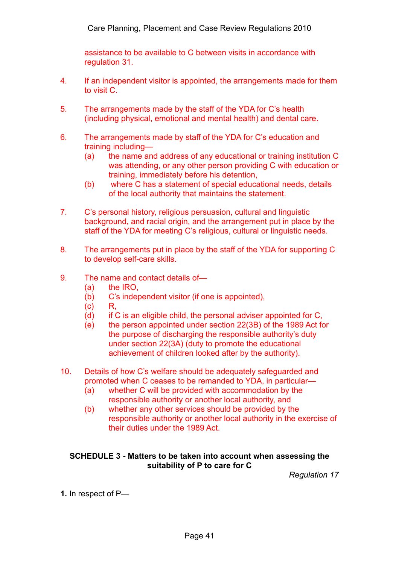assistance to be available to C between visits in accordance with regulation 31.

- 4. If an independent visitor is appointed, the arrangements made for them to visit C.
- 5. The arrangements made by the staff of the YDA for C's health (including physical, emotional and mental health) and dental care.
- 6. The arrangements made by staff of the YDA for C's education and training including—
	- (a) the name and address of any educational or training institution C was attending, or any other person providing C with education or training, immediately before his detention,
	- (b) where C has a statement of special educational needs, details of the local authority that maintains the statement.
- 7. C's personal history, religious persuasion, cultural and linguistic background, and racial origin, and the arrangement put in place by the staff of the YDA for meeting C's religious, cultural or linguistic needs.
- 8. The arrangements put in place by the staff of the YDA for supporting C to develop self-care skills.
- 9. The name and contact details of—
	- (a) the IRO,
	- (b) C's independent visitor (if one is appointed),
	- $(c)$  R.
	- (d) if C is an eligible child, the personal adviser appointed for C,
	- (e) the person appointed under section 22(3B) of the 1989 Act for the purpose of discharging the responsible authority's duty under section 22(3A) (duty to promote the educational achievement of children looked after by the authority).
- 10. Details of how C's welfare should be adequately safeguarded and promoted when C ceases to be remanded to YDA, in particular—
	- (a) whether C will be provided with accommodation by the responsible authority or another local authority, and
	- (b) whether any other services should be provided by the responsible authority or another local authority in the exercise of their duties under the 1989 Act.

#### **SCHEDULE 3 - Matters to be taken into account when assessing the suitability of P to care for C**

*Regulation 17* 

**1.** In respect of P—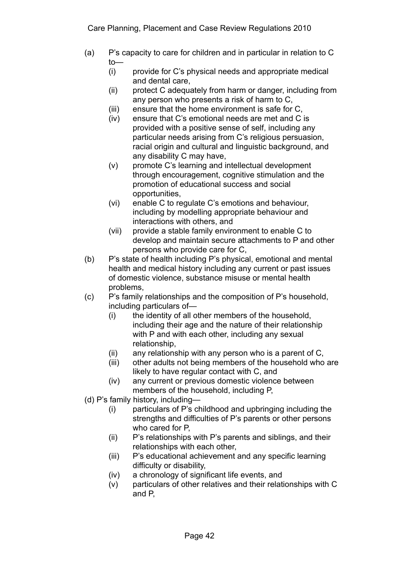- (a) P's capacity to care for children and in particular in relation to C to—
	- (i) provide for C's physical needs and appropriate medical and dental care,
	- (ii) protect C adequately from harm or danger, including from any person who presents a risk of harm to C,
	- (iii) ensure that the home environment is safe for C,
	- (iv) ensure that C's emotional needs are met and C is provided with a positive sense of self, including any particular needs arising from C's religious persuasion, racial origin and cultural and linguistic background, and any disability C may have,
	- (v) promote C's learning and intellectual development through encouragement, cognitive stimulation and the promotion of educational success and social opportunities,
	- (vi) enable C to regulate C's emotions and behaviour, including by modelling appropriate behaviour and interactions with others, and
	- (vii) provide a stable family environment to enable C to develop and maintain secure attachments to P and other persons who provide care for C,
- (b) P's state of health including P's physical, emotional and mental health and medical history including any current or past issues of domestic violence, substance misuse or mental health problems,
- (c) P's family relationships and the composition of P's household, including particulars of—
	- (i) the identity of all other members of the household, including their age and the nature of their relationship with P and with each other, including any sexual relationship,
	- (ii) any relationship with any person who is a parent of C,
	- (iii) other adults not being members of the household who are likely to have regular contact with C, and
	- (iv) any current or previous domestic violence between members of the household, including P,
- (d) P's family history, including—
	- (i) particulars of P's childhood and upbringing including the strengths and difficulties of P's parents or other persons who cared for P,
	- (ii) P's relationships with P's parents and siblings, and their relationships with each other,
	- (iii) P's educational achievement and any specific learning difficulty or disability,
	- (iv) a chronology of significant life events, and
	- (v) particulars of other relatives and their relationships with C and P,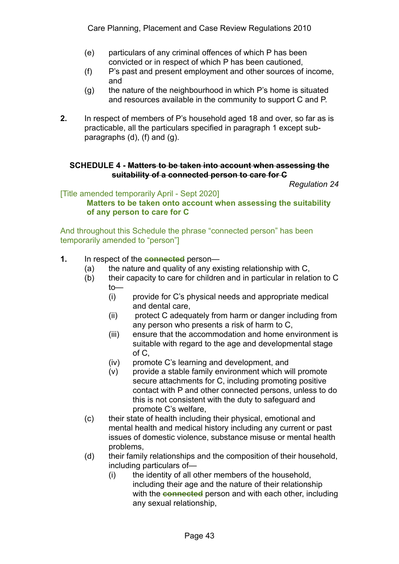- (e) particulars of any criminal offences of which P has been convicted or in respect of which P has been cautioned,
- (f) P's past and present employment and other sources of income, and
- (g) the nature of the neighbourhood in which P's home is situated and resources available in the community to support C and P.
- **2.** In respect of members of P's household aged 18 and over, so far as is practicable, all the particulars specified in paragraph 1 except subparagraphs (d), (f) and (g).

## **SCHEDULE 4 - Matters to be taken into account when assessing the suitability of a connected person to care for C**

*Regulation 24* 

#### [Title amended temporarily April - Sept 2020] **Matters to be taken onto account when assessing the suitability of any person to care for C**

And throughout this Schedule the phrase "connected person" has been temporarily amended to "person"]

### **1.** In respect of the **connected** person—

- (a) the nature and quality of any existing relationship with C,
- (b) their capacity to care for children and in particular in relation to C to—
	- (i) provide for C's physical needs and appropriate medical and dental care,
	- (ii) protect C adequately from harm or danger including from any person who presents a risk of harm to C,
	- (iii) ensure that the accommodation and home environment is suitable with regard to the age and developmental stage of C,
	- (iv) promote C's learning and development, and
	- (v) provide a stable family environment which will promote secure attachments for C, including promoting positive contact with P and other connected persons, unless to do this is not consistent with the duty to safeguard and promote C's welfare,
- (c) their state of health including their physical, emotional and mental health and medical history including any current or past issues of domestic violence, substance misuse or mental health problems,
- (d) their family relationships and the composition of their household, including particulars of—
	- (i) the identity of all other members of the household, including their age and the nature of their relationship with the **connected** person and with each other, including any sexual relationship,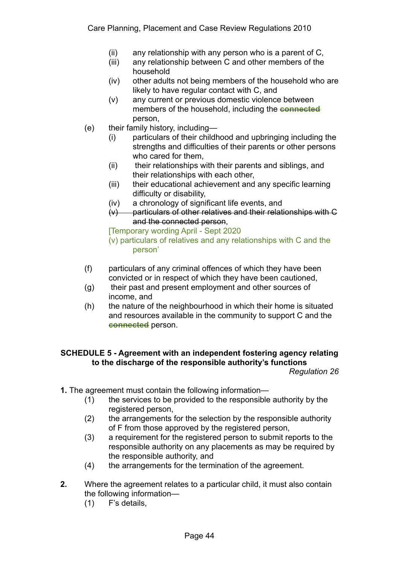- (ii) any relationship with any person who is a parent of C,
- (iii) any relationship between C and other members of the household
- (iv) other adults not being members of the household who are likely to have regular contact with C, and
- (v) any current or previous domestic violence between members of the household, including the **connected** person,
- (e) their family history, including—
	- (i) particulars of their childhood and upbringing including the strengths and difficulties of their parents or other persons who cared for them,
	- (ii) their relationships with their parents and siblings, and their relationships with each other,
	- (iii) their educational achievement and any specific learning difficulty or disability,
	- (iv) a chronology of significant life events, and
	- (v) particulars of other relatives and their relationships with C and the connected person,

[Temporary wording April - Sept 2020

(v) particulars of relatives and any relationships with C and the person'

- (f) particulars of any criminal offences of which they have been convicted or in respect of which they have been cautioned,
- (g) their past and present employment and other sources of income, and
- (h) the nature of the neighbourhood in which their home is situated and resources available in the community to support C and the **connected** person.

# **SCHEDULE 5 - Agreement with an independent fostering agency relating to the discharge of the responsible authority's functions**

*Regulation 26* 

- **1.** The agreement must contain the following information—
	- (1) the services to be provided to the responsible authority by the registered person,
	- (2) the arrangements for the selection by the responsible authority of F from those approved by the registered person,
	- (3) a requirement for the registered person to submit reports to the responsible authority on any placements as may be required by the responsible authority, and
	- (4) the arrangements for the termination of the agreement.
- **2.** Where the agreement relates to a particular child, it must also contain the following information—
	- (1) F's details,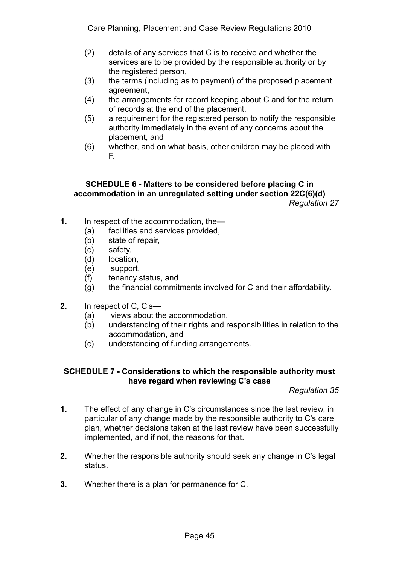- (2) details of any services that C is to receive and whether the services are to be provided by the responsible authority or by the registered person,
- (3) the terms (including as to payment) of the proposed placement agreement,
- (4) the arrangements for record keeping about C and for the return of records at the end of the placement,
- (5) a requirement for the registered person to notify the responsible authority immediately in the event of any concerns about the placement, and
- (6) whether, and on what basis, other children may be placed with F.

#### **SCHEDULE 6 - Matters to be considered before placing C in accommodation in an unregulated setting under section 22C(6)(d)**  *Regulation 27*

- **1.** In respect of the accommodation, the—
	- (a) facilities and services provided,
	- (b) state of repair,
	- (c) safety,
	- (d) location,
	- (e) support,
	- (f) tenancy status, and
	- (g) the financial commitments involved for C and their affordability.
- **2.** In respect of C, C's—
	- (a) views about the accommodation,
	- (b) understanding of their rights and responsibilities in relation to the accommodation, and
	- (c) understanding of funding arrangements.

#### **SCHEDULE 7 - Considerations to which the responsible authority must have regard when reviewing C's case**

*Regulation 35* 

- **1.** The effect of any change in C's circumstances since the last review, in particular of any change made by the responsible authority to C's care plan, whether decisions taken at the last review have been successfully implemented, and if not, the reasons for that.
- **2.** Whether the responsible authority should seek any change in C's legal status.
- **3.** Whether there is a plan for permanence for C.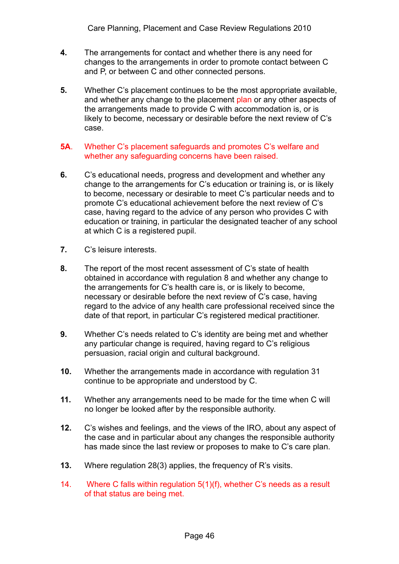- **4.** The arrangements for contact and whether there is any need for changes to the arrangements in order to promote contact between C and P, or between C and other connected persons.
- **5.** Whether C's placement continues to be the most appropriate available, and whether any change to the placement plan or any other aspects of the arrangements made to provide C with accommodation is, or is likely to become, necessary or desirable before the next review of C's case.
- **5A**. Whether C's placement safeguards and promotes C's welfare and whether any safeguarding concerns have been raised.
- **6.** C's educational needs, progress and development and whether any change to the arrangements for C's education or training is, or is likely to become, necessary or desirable to meet C's particular needs and to promote C's educational achievement before the next review of C's case, having regard to the advice of any person who provides C with education or training, in particular the designated teacher of any school at which C is a registered pupil.
- **7.** C's leisure interests.
- **8.** The report of the most recent assessment of C's state of health obtained in accordance with regulation 8 and whether any change to the arrangements for C's health care is, or is likely to become, necessary or desirable before the next review of C's case, having regard to the advice of any health care professional received since the date of that report, in particular C's registered medical practitioner.
- **9.** Whether C's needs related to C's identity are being met and whether any particular change is required, having regard to C's religious persuasion, racial origin and cultural background.
- **10.** Whether the arrangements made in accordance with regulation 31 continue to be appropriate and understood by C.
- **11.** Whether any arrangements need to be made for the time when C will no longer be looked after by the responsible authority.
- **12.** C's wishes and feelings, and the views of the IRO, about any aspect of the case and in particular about any changes the responsible authority has made since the last review or proposes to make to C's care plan.
- **13.** Where regulation 28(3) applies, the frequency of R's visits.
- 14. Where C falls within regulation 5(1)(f), whether C's needs as a result of that status are being met.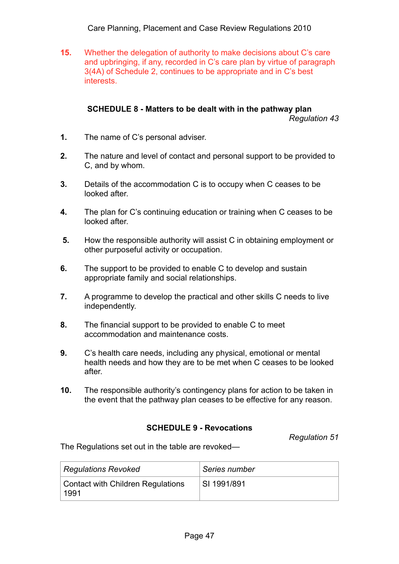Care Planning, Placement and Case Review Regulations 2010

**15.** Whether the delegation of authority to make decisions about C's care and upbringing, if any, recorded in C's care plan by virtue of paragraph 3(4A) of Schedule 2, continues to be appropriate and in C's best interests.

#### **SCHEDULE 8 - Matters to be dealt with in the pathway plan**  *Regulation 43*

- **1.** The name of C's personal adviser.
- **2.** The nature and level of contact and personal support to be provided to C, and by whom.
- **3.** Details of the accommodation C is to occupy when C ceases to be looked after.
- **4.** The plan for C's continuing education or training when C ceases to be looked after.
- **5.** How the responsible authority will assist C in obtaining employment or other purposeful activity or occupation.
- **6.** The support to be provided to enable C to develop and sustain appropriate family and social relationships.
- **7.** A programme to develop the practical and other skills C needs to live independently.
- **8.** The financial support to be provided to enable C to meet accommodation and maintenance costs.
- **9.** C's health care needs, including any physical, emotional or mental health needs and how they are to be met when C ceases to be looked after.
- **10.** The responsible authority's contingency plans for action to be taken in the event that the pathway plan ceases to be effective for any reason.

## **SCHEDULE 9 - Revocations**

*Regulation 51* 

The Regulations set out in the table are revoked—

| <b>Regulations Revoked</b>                | Series number |
|-------------------------------------------|---------------|
| Contact with Children Regulations<br>1991 | SI 1991/891   |